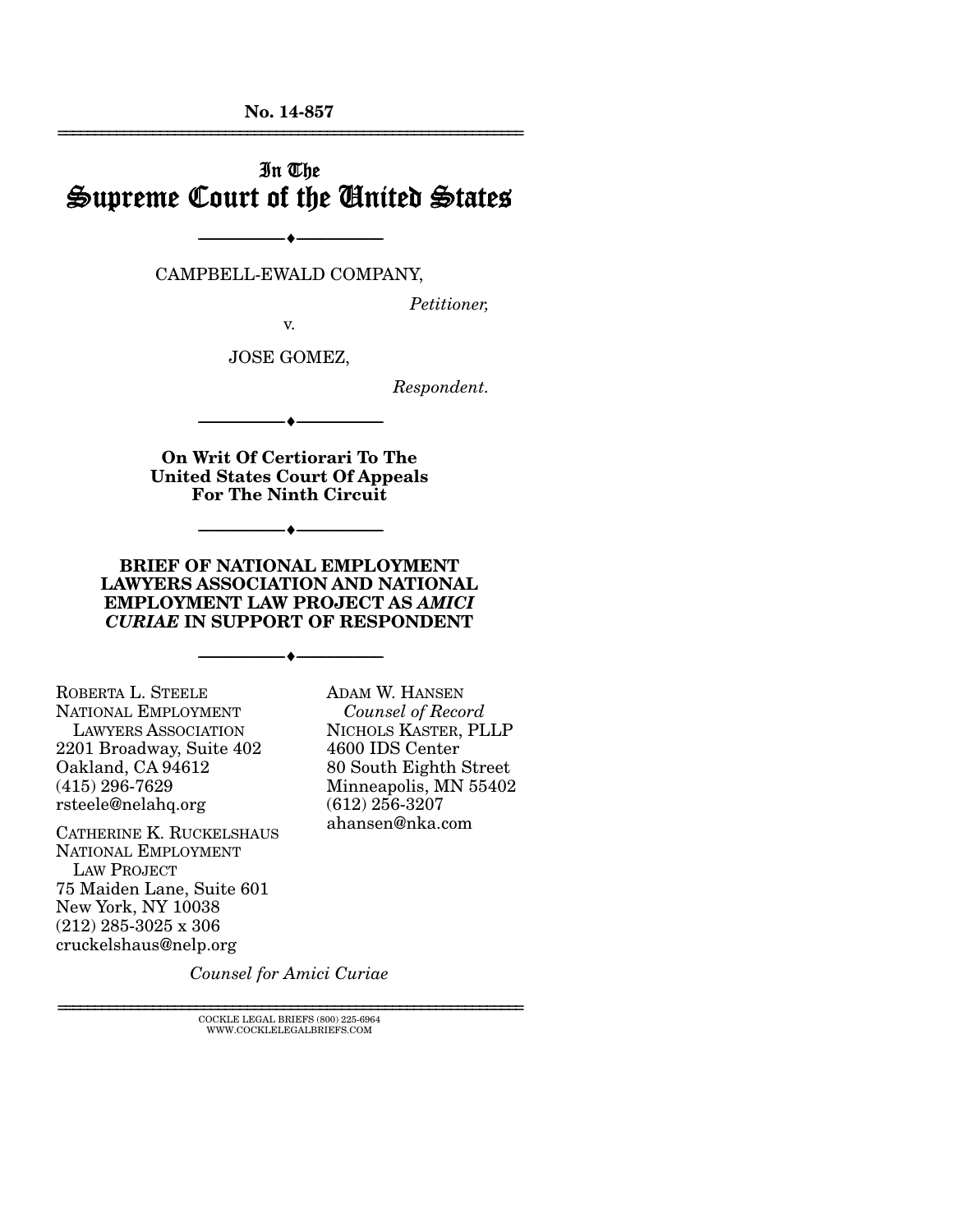**No. 14-857**  ================================================================

# In The Supreme Court of the United States

CAMPBELL-EWALD COMPANY,

--------------------------------- ---------------------------------

*Petitioner,* 

v.

JOSE GOMEZ,

*Respondent.* 

**On Writ Of Certiorari To The United States Court Of Appeals For The Ninth Circuit** 

--------------------------------- ---------------------------------

--------------------------------- ---------------------------------

**BRIEF OF NATIONAL EMPLOYMENT LAWYERS ASSOCIATION AND NATIONAL EMPLOYMENT LAW PROJECT AS** *AMICI CURIAE* **IN SUPPORT OF RESPONDENT** 

--------------------------------- ---------------------------------

ROBERTA L. STEELE NATIONAL EMPLOYMENT LAWYERS ASSOCIATION 2201 Broadway, Suite 402 Oakland, CA 94612 (415) 296-7629 rsteele@nelahq.org

CATHERINE K. RUCKELSHAUS NATIONAL EMPLOYMENT LAW PROJECT 75 Maiden Lane, Suite 601 New York, NY 10038 (212) 285-3025 x 306 cruckelshaus@nelp.org

ADAM W. HANSEN *Counsel of Record* NICHOLS KASTER, PLLP 4600 IDS Center 80 South Eighth Street Minneapolis, MN 55402 (612) 256-3207 ahansen@nka.com

*Counsel for Amici Curiae* 

 ${\rm COCKLE}$ LEGAL BRIEFS (800) 225-6964 WWW.COCKLELEGALBRIEFS.COM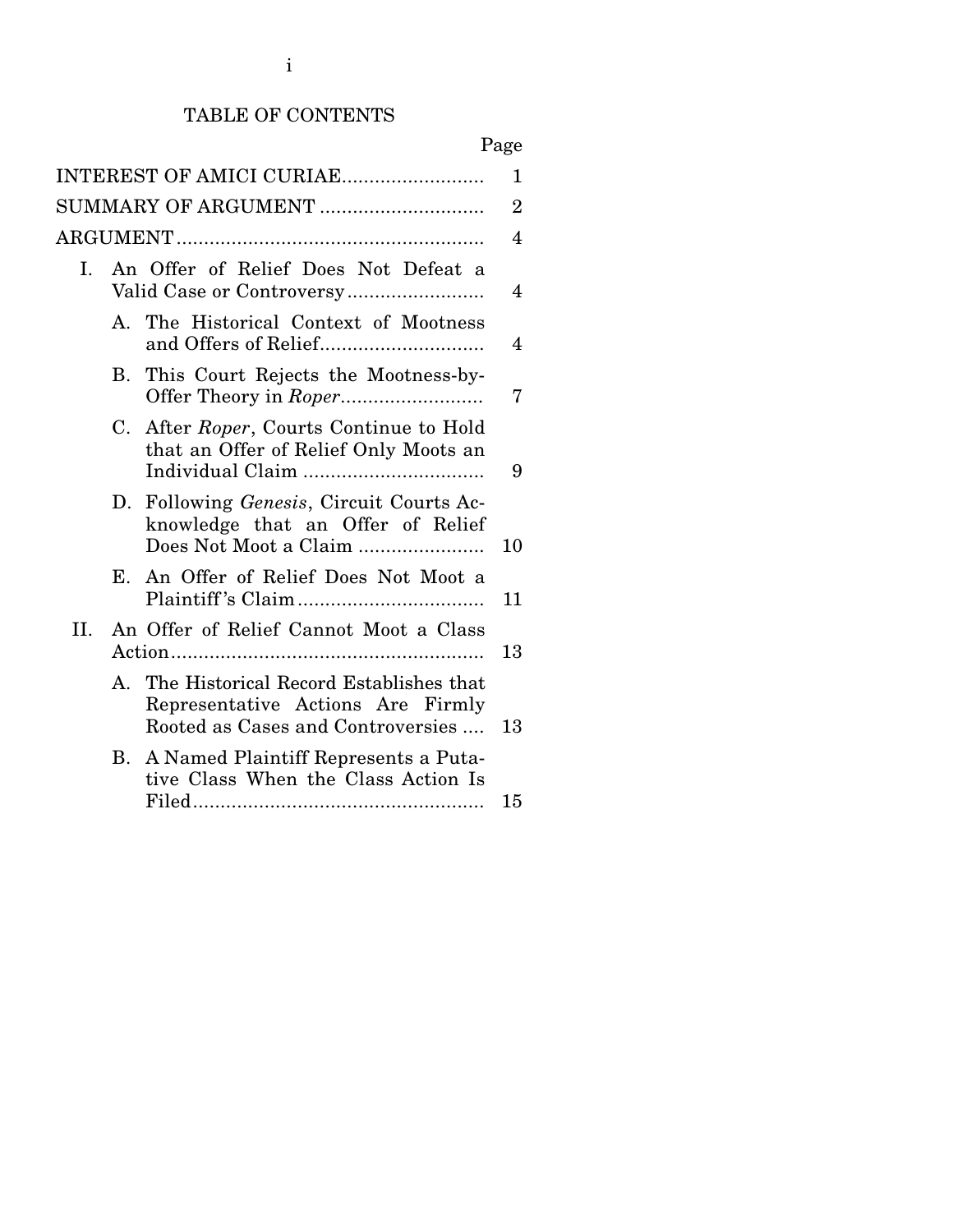# TABLE OF CONTENTS

# Page

|                     |    | INTEREST OF AMICI CURIAE                                                                                            | 1              |
|---------------------|----|---------------------------------------------------------------------------------------------------------------------|----------------|
| SUMMARY OF ARGUMENT |    |                                                                                                                     | $\overline{2}$ |
|                     |    |                                                                                                                     | 4              |
| I.                  |    | An Offer of Relief Does Not Defeat a                                                                                | 4              |
|                     |    | A. The Historical Context of Mootness                                                                               | 4              |
|                     |    | B. This Court Rejects the Mootness-by-                                                                              | 7              |
|                     | C. | After Roper, Courts Continue to Hold<br>that an Offer of Relief Only Moots an                                       | 9              |
|                     |    | D. Following <i>Genesis</i> , Circuit Courts Ac-<br>knowledge that an Offer of Relief<br>Does Not Moot a Claim      | 10             |
|                     | Е. | An Offer of Relief Does Not Moot a                                                                                  | 11             |
| II.                 |    | An Offer of Relief Cannot Moot a Class                                                                              | 13             |
|                     |    | A. The Historical Record Establishes that<br>Representative Actions Are Firmly<br>Rooted as Cases and Controversies | 13             |
|                     |    | B. A Named Plaintiff Represents a Puta-<br>tive Class When the Class Action Is                                      | 15             |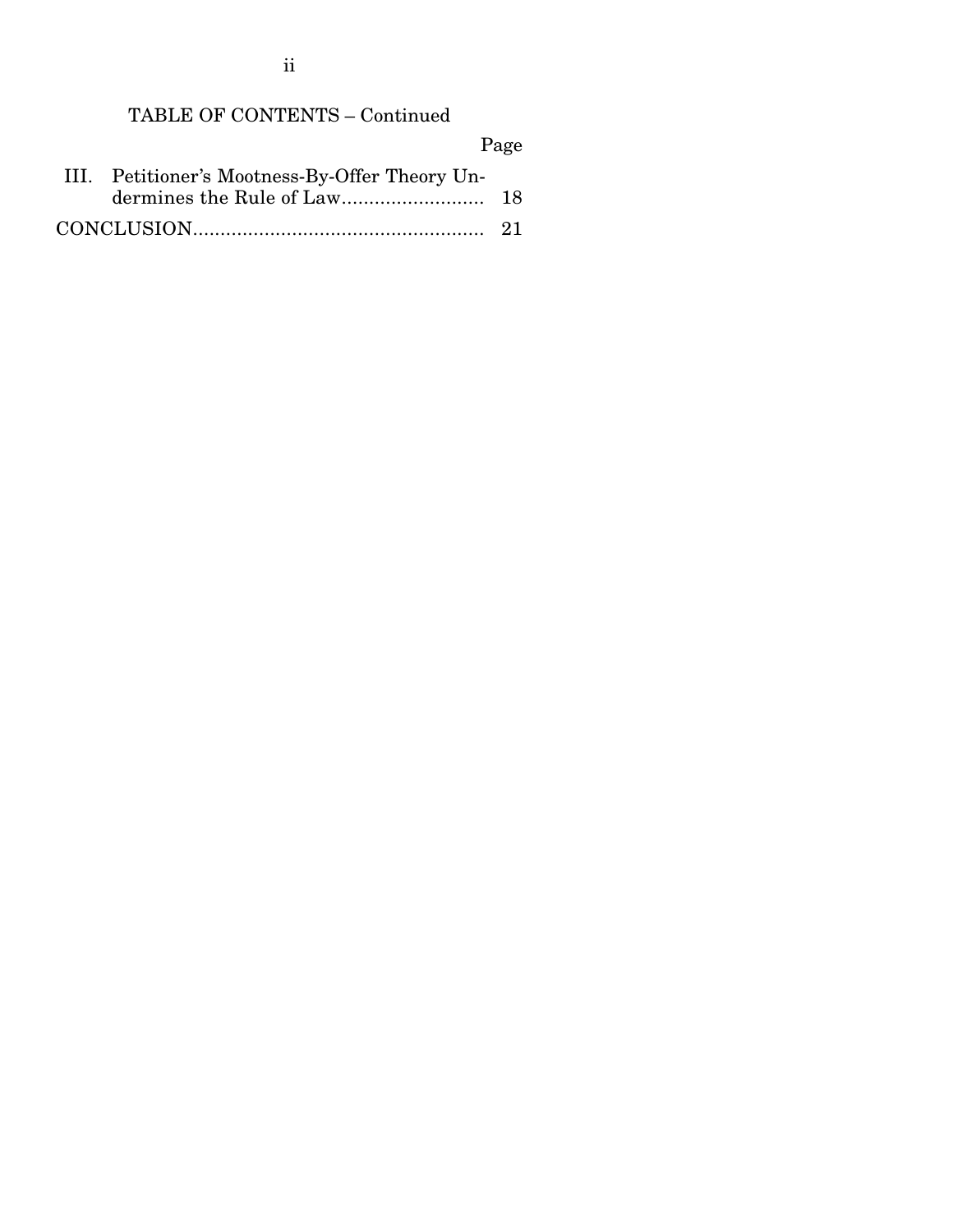ii

# TABLE OF CONTENTS – Continued

|                                                | Page |
|------------------------------------------------|------|
| III. Petitioner's Mootness-By-Offer Theory Un- |      |
|                                                |      |
|                                                |      |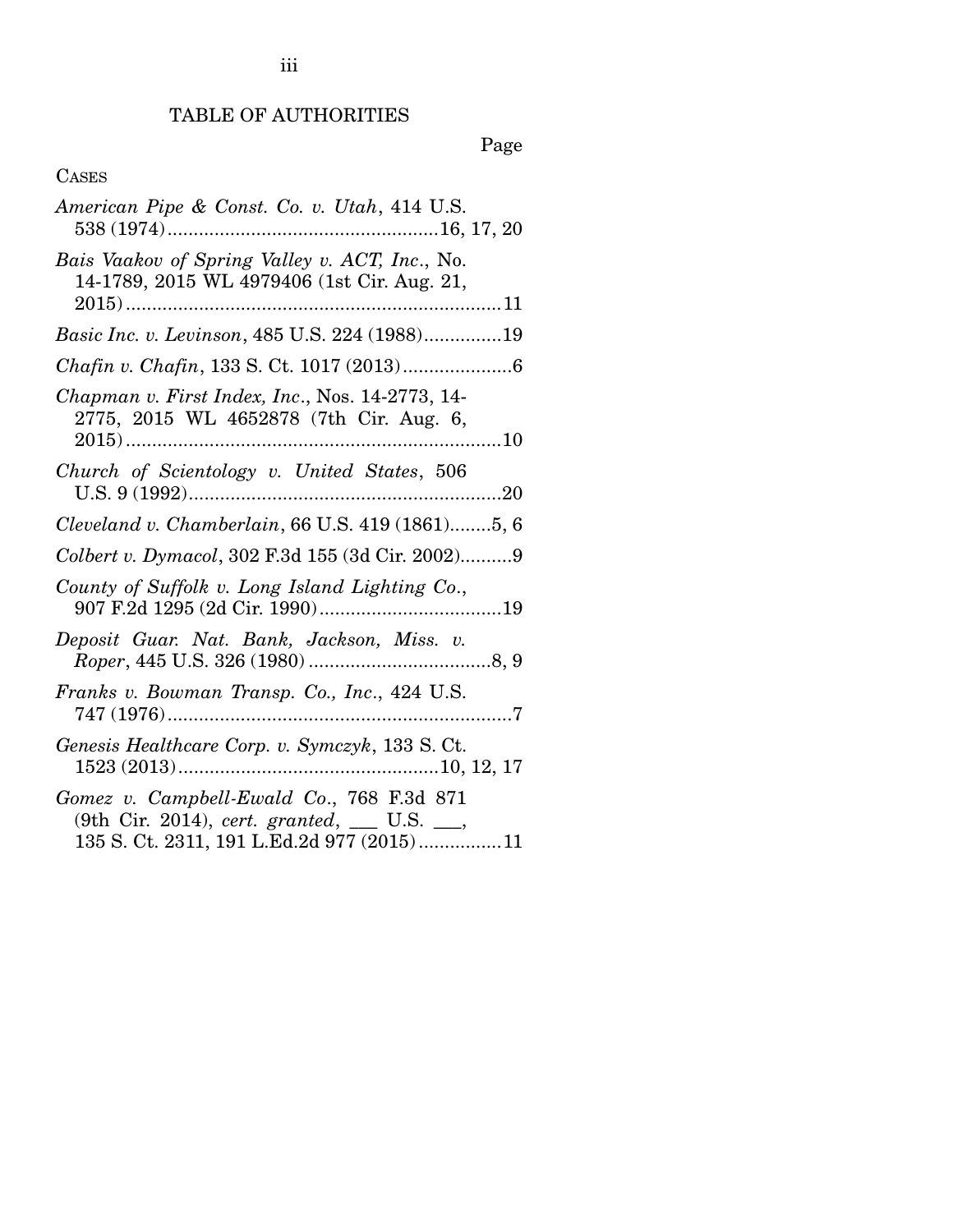## TABLE OF AUTHORITIES

# Page

## CASES

| American Pipe & Const. Co. v. Utah, 414 U.S.                                                                                          |
|---------------------------------------------------------------------------------------------------------------------------------------|
| Bais Vaakov of Spring Valley v. ACT, Inc., No.<br>14-1789, 2015 WL 4979406 (1st Cir. Aug. 21,                                         |
| Basic Inc. v. Levinson, 485 U.S. 224 (1988)19                                                                                         |
|                                                                                                                                       |
| Chapman v. First Index, Inc., Nos. 14-2773, 14-<br>2775, 2015 WL 4652878 (7th Cir. Aug. 6,                                            |
| Church of Scientology v. United States, 506                                                                                           |
| Cleveland v. Chamberlain, 66 U.S. 419 (1861)5, 6                                                                                      |
| Colbert v. Dymacol, 302 F.3d 155 (3d Cir. 2002)9                                                                                      |
| County of Suffolk v. Long Island Lighting Co.,                                                                                        |
| Deposit Guar. Nat. Bank, Jackson, Miss. v.                                                                                            |
| Franks v. Bowman Transp. Co., Inc., 424 U.S.                                                                                          |
| Genesis Healthcare Corp. v. Symczyk, 133 S. Ct.                                                                                       |
| Gomez v. Campbell-Ewald Co., 768 F.3d 871<br>(9th Cir. 2014), cert. granted, __ U.S. __,<br>135 S. Ct. 2311, 191 L.Ed.2d 977 (2015)11 |

iii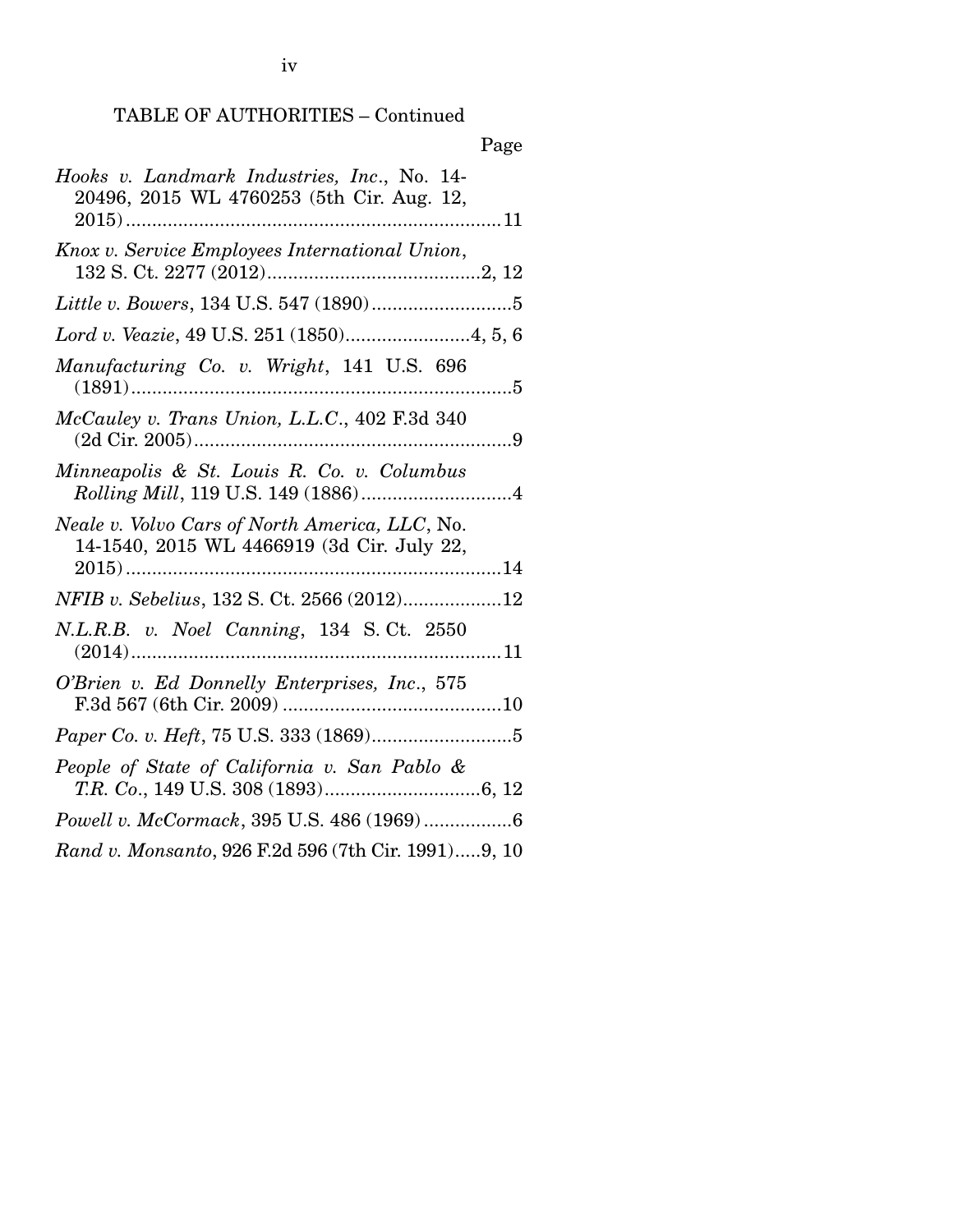## TABLE OF AUTHORITIES – Continued

| Page                                                                                         |
|----------------------------------------------------------------------------------------------|
| Hooks v. Landmark Industries, Inc., No. 14-<br>20496, 2015 WL 4760253 (5th Cir. Aug. 12,     |
| Knox v. Service Employees International Union,                                               |
|                                                                                              |
| Lord v. Veazie, 49 U.S. 251 (1850)4, 5, 6                                                    |
| Manufacturing Co. v. Wright, 141 U.S. 696                                                    |
| McCauley v. Trans Union, L.L.C., 402 F.3d 340                                                |
| Minneapolis & St. Louis R. Co. v. Columbus                                                   |
| Neale v. Volvo Cars of North America, LLC, No.<br>14-1540, 2015 WL 4466919 (3d Cir. July 22, |
| NFIB v. Sebelius, 132 S. Ct. 2566 (2012)12                                                   |
| N.L.R.B. v. Noel Canning, 134 S.Ct. 2550                                                     |
| O'Brien v. Ed Donnelly Enterprises, Inc., 575                                                |
|                                                                                              |
| People of State of California v. San Pablo &                                                 |
| Powell v. McCormack, 395 U.S. 486 (1969)6                                                    |
| Rand v. Monsanto, 926 F.2d 596 (7th Cir. 1991)9, 10                                          |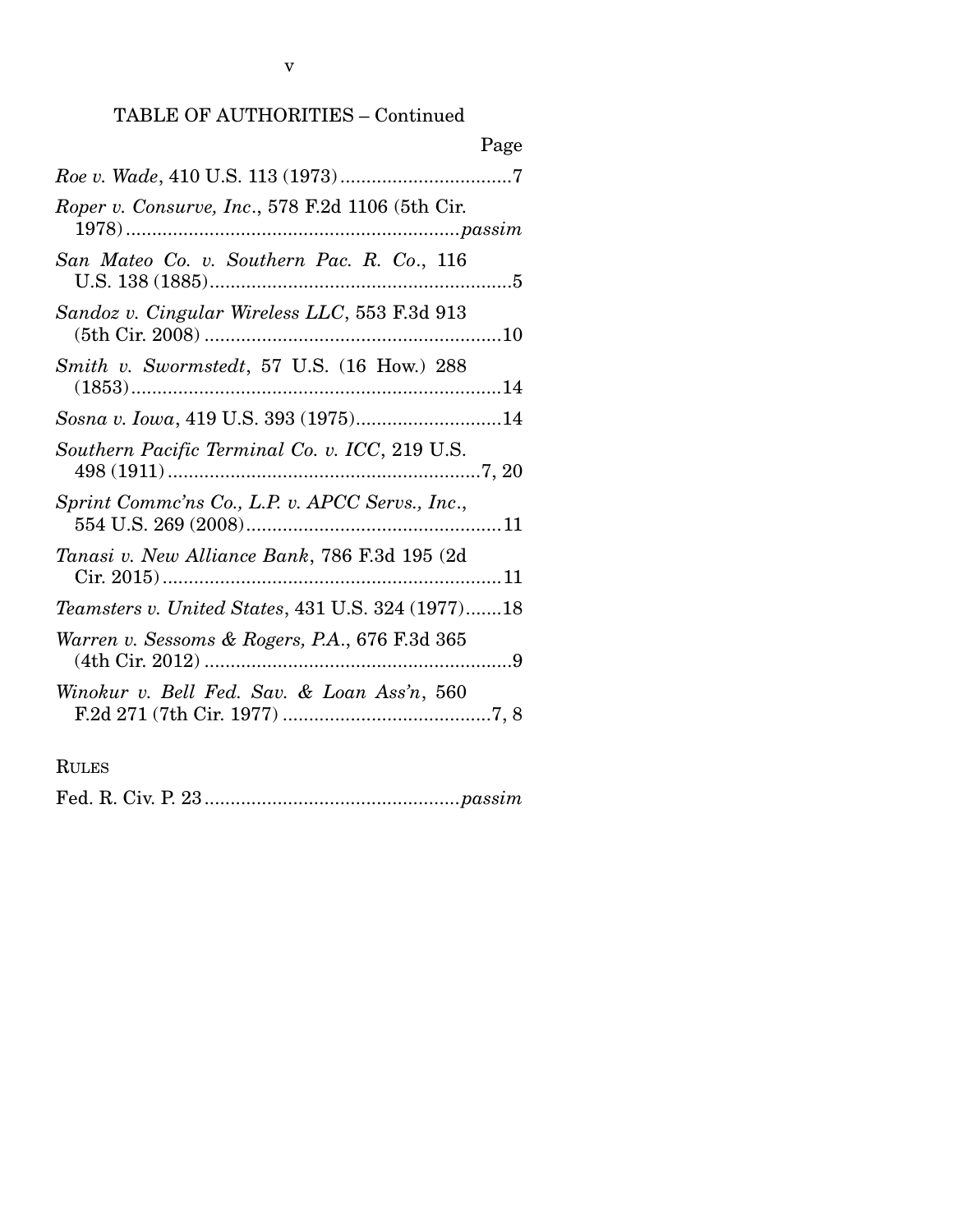## TABLE OF AUTHORITIES – Continued

| Page                                              |  |
|---------------------------------------------------|--|
|                                                   |  |
| Roper v. Consurve, Inc., 578 F.2d 1106 (5th Cir.  |  |
| San Mateo Co. v. Southern Pac. R. Co., 116        |  |
| Sandoz v. Cingular Wireless LLC, 553 F.3d 913     |  |
| Smith v. Swormstedt, 57 U.S. (16 How.) 288        |  |
| Sosna v. Iowa, 419 U.S. 393 (1975)14              |  |
| Southern Pacific Terminal Co. v. ICC, 219 U.S.    |  |
| Sprint Commc'ns Co., L.P. v. APCC Servs., Inc.,   |  |
| Tanasi v. New Alliance Bank, 786 F.3d 195 (2d     |  |
| Teamsters v. United States, 431 U.S. 324 (1977)18 |  |
| Warren v. Sessoms & Rogers, P.A., 676 F.3d 365    |  |
| Winokur v. Bell Fed. Sav. & Loan Ass'n, 560       |  |
|                                                   |  |

RULES

Fed. R. Civ. P. 23 ................................................. *passim*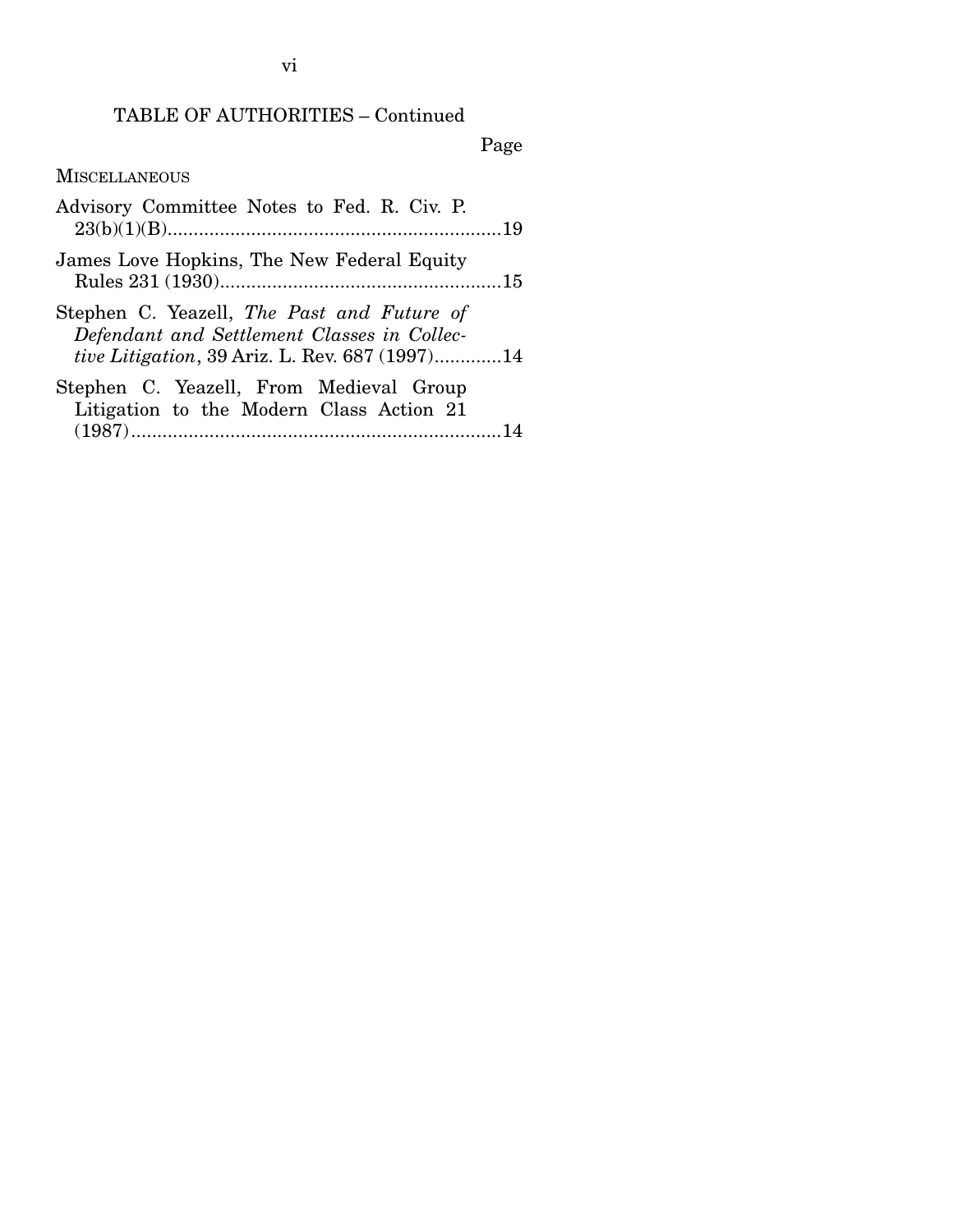# TABLE OF AUTHORITIES – Continued

Page

**MISCELLANEOUS** 

| Advisory Committee Notes to Fed. R. Civ. P.                                                                                                         |  |
|-----------------------------------------------------------------------------------------------------------------------------------------------------|--|
| James Love Hopkins, The New Federal Equity                                                                                                          |  |
| Stephen C. Yeazell, The Past and Future of<br>Defendant and Settlement Classes in Collec-<br><i>tive Litigation</i> , 39 Ariz. L. Rev. 687 (1997)14 |  |
| Stephen C. Yeazell, From Medieval Group<br>Litigation to the Modern Class Action 21                                                                 |  |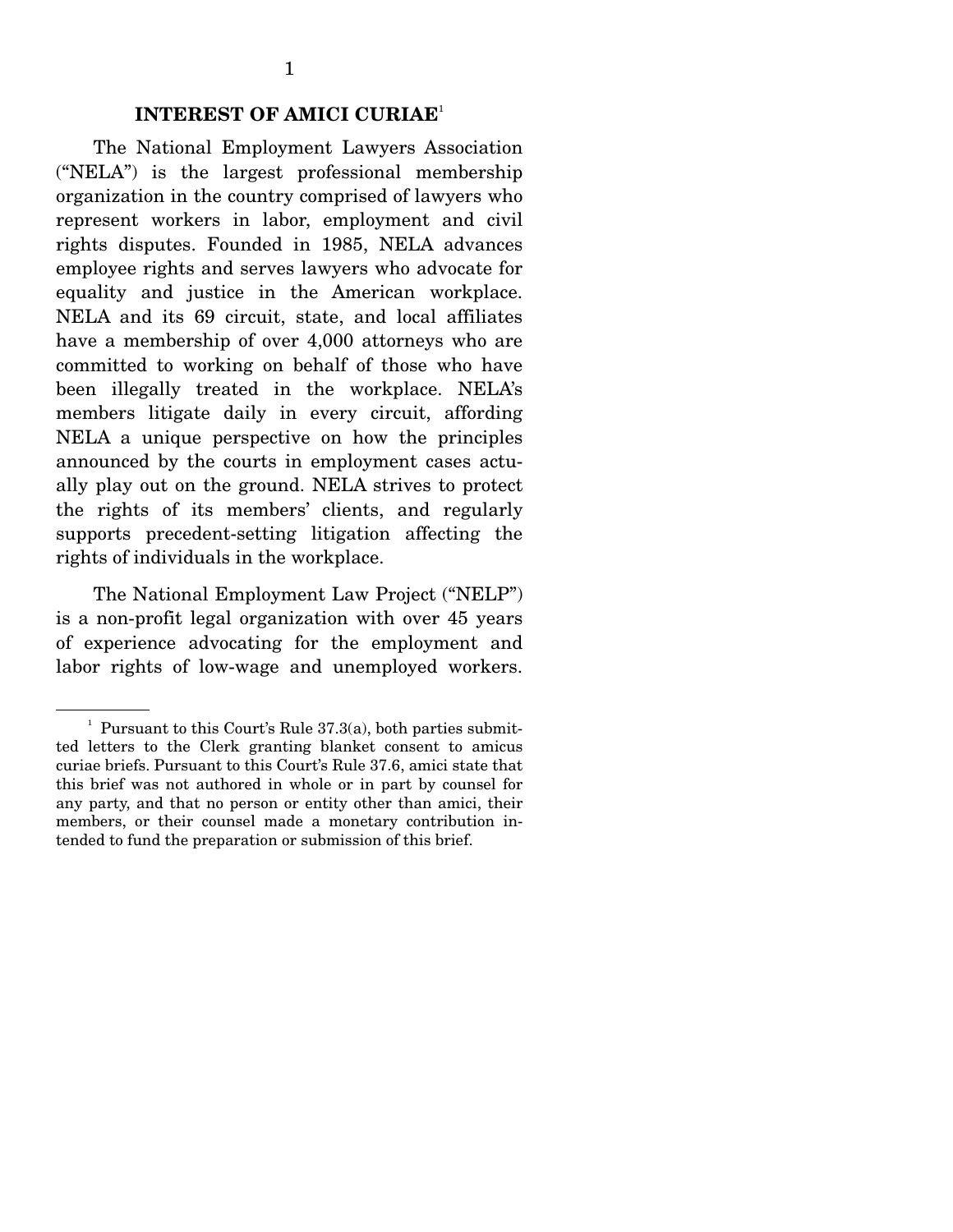The National Employment Lawyers Association ("NELA") is the largest professional membership organization in the country comprised of lawyers who represent workers in labor, employment and civil rights disputes. Founded in 1985, NELA advances employee rights and serves lawyers who advocate for equality and justice in the American workplace. NELA and its 69 circuit, state, and local affiliates have a membership of over 4,000 attorneys who are committed to working on behalf of those who have been illegally treated in the workplace. NELA's members litigate daily in every circuit, affording NELA a unique perspective on how the principles announced by the courts in employment cases actually play out on the ground. NELA strives to protect the rights of its members' clients, and regularly supports precedent-setting litigation affecting the rights of individuals in the workplace.

 The National Employment Law Project ("NELP") is a non-profit legal organization with over 45 years of experience advocating for the employment and labor rights of low-wage and unemployed workers.

 $<sup>1</sup>$  Pursuant to this Court's Rule 37.3(a), both parties submit-</sup> ted letters to the Clerk granting blanket consent to amicus curiae briefs. Pursuant to this Court's Rule 37.6, amici state that this brief was not authored in whole or in part by counsel for any party, and that no person or entity other than amici, their members, or their counsel made a monetary contribution intended to fund the preparation or submission of this brief.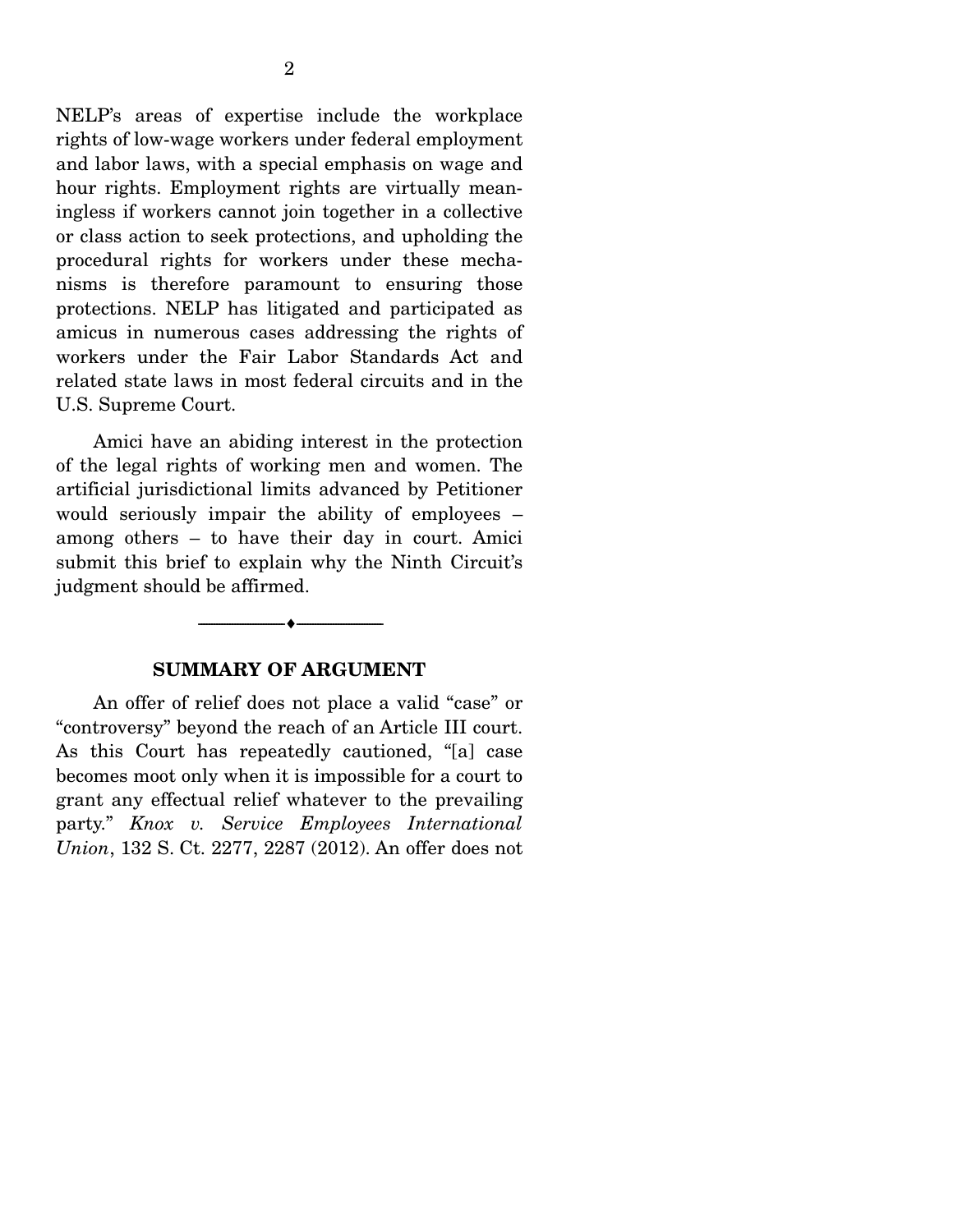NELP's areas of expertise include the workplace rights of low-wage workers under federal employment and labor laws, with a special emphasis on wage and hour rights. Employment rights are virtually meaningless if workers cannot join together in a collective or class action to seek protections, and upholding the procedural rights for workers under these mechanisms is therefore paramount to ensuring those protections. NELP has litigated and participated as amicus in numerous cases addressing the rights of workers under the Fair Labor Standards Act and related state laws in most federal circuits and in the U.S. Supreme Court.

 Amici have an abiding interest in the protection of the legal rights of working men and women. The artificial jurisdictional limits advanced by Petitioner would seriously impair the ability of employees – among others – to have their day in court. Amici submit this brief to explain why the Ninth Circuit's judgment should be affirmed.

#### **SUMMARY OF ARGUMENT**

--------------------------------- ---------------------------------

 An offer of relief does not place a valid "case" or "controversy" beyond the reach of an Article III court. As this Court has repeatedly cautioned, "[a] case becomes moot only when it is impossible for a court to grant any effectual relief whatever to the prevailing party." *Knox v. Service Employees International Union*, 132 S. Ct. 2277, 2287 (2012). An offer does not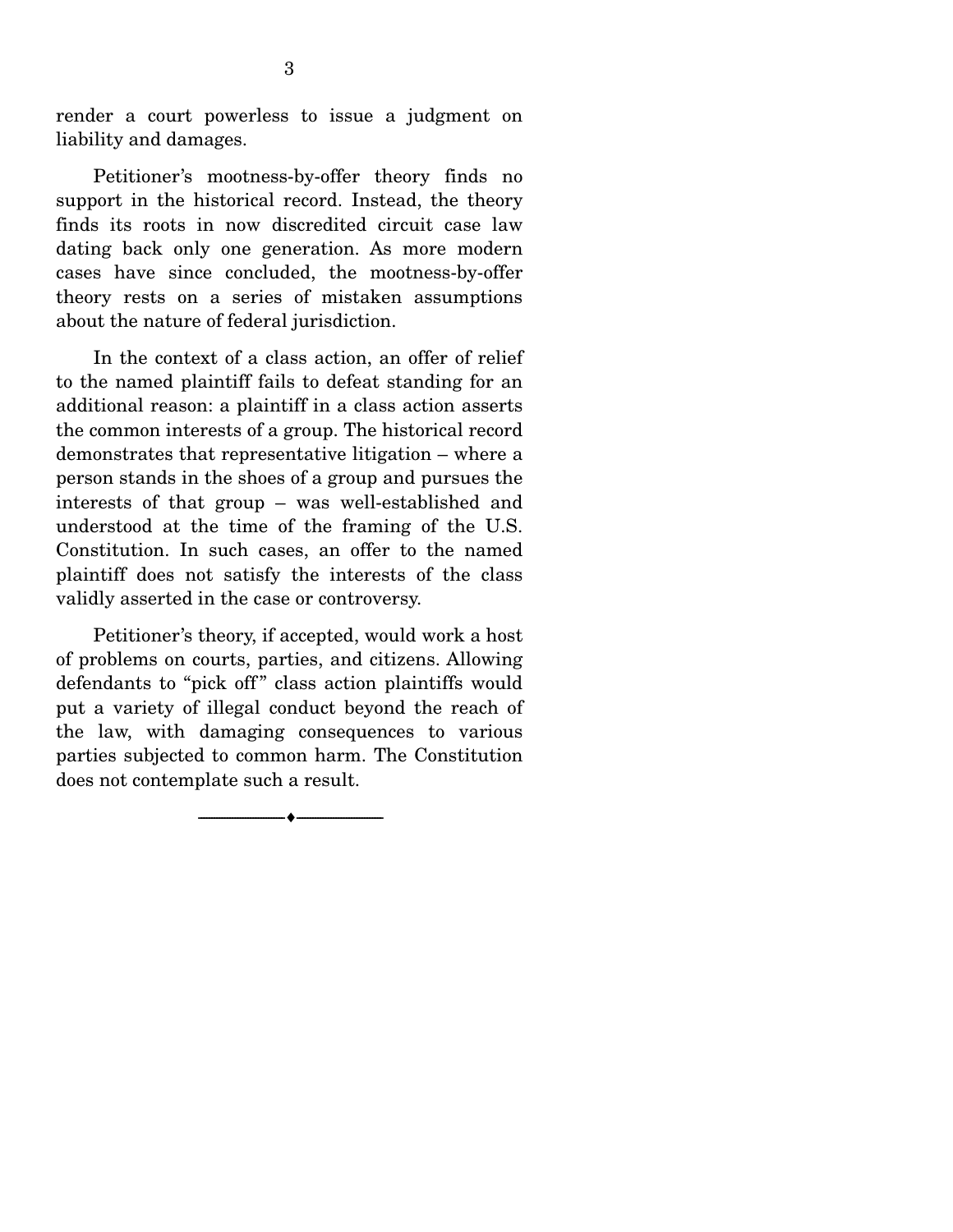render a court powerless to issue a judgment on liability and damages.

 Petitioner's mootness-by-offer theory finds no support in the historical record. Instead, the theory finds its roots in now discredited circuit case law dating back only one generation. As more modern cases have since concluded, the mootness-by-offer theory rests on a series of mistaken assumptions about the nature of federal jurisdiction.

 In the context of a class action, an offer of relief to the named plaintiff fails to defeat standing for an additional reason: a plaintiff in a class action asserts the common interests of a group. The historical record demonstrates that representative litigation – where a person stands in the shoes of a group and pursues the interests of that group – was well-established and understood at the time of the framing of the U.S. Constitution. In such cases, an offer to the named plaintiff does not satisfy the interests of the class validly asserted in the case or controversy.

 Petitioner's theory, if accepted, would work a host of problems on courts, parties, and citizens. Allowing defendants to "pick off" class action plaintiffs would put a variety of illegal conduct beyond the reach of the law, with damaging consequences to various parties subjected to common harm. The Constitution does not contemplate such a result.

--------------------------------- ---------------------------------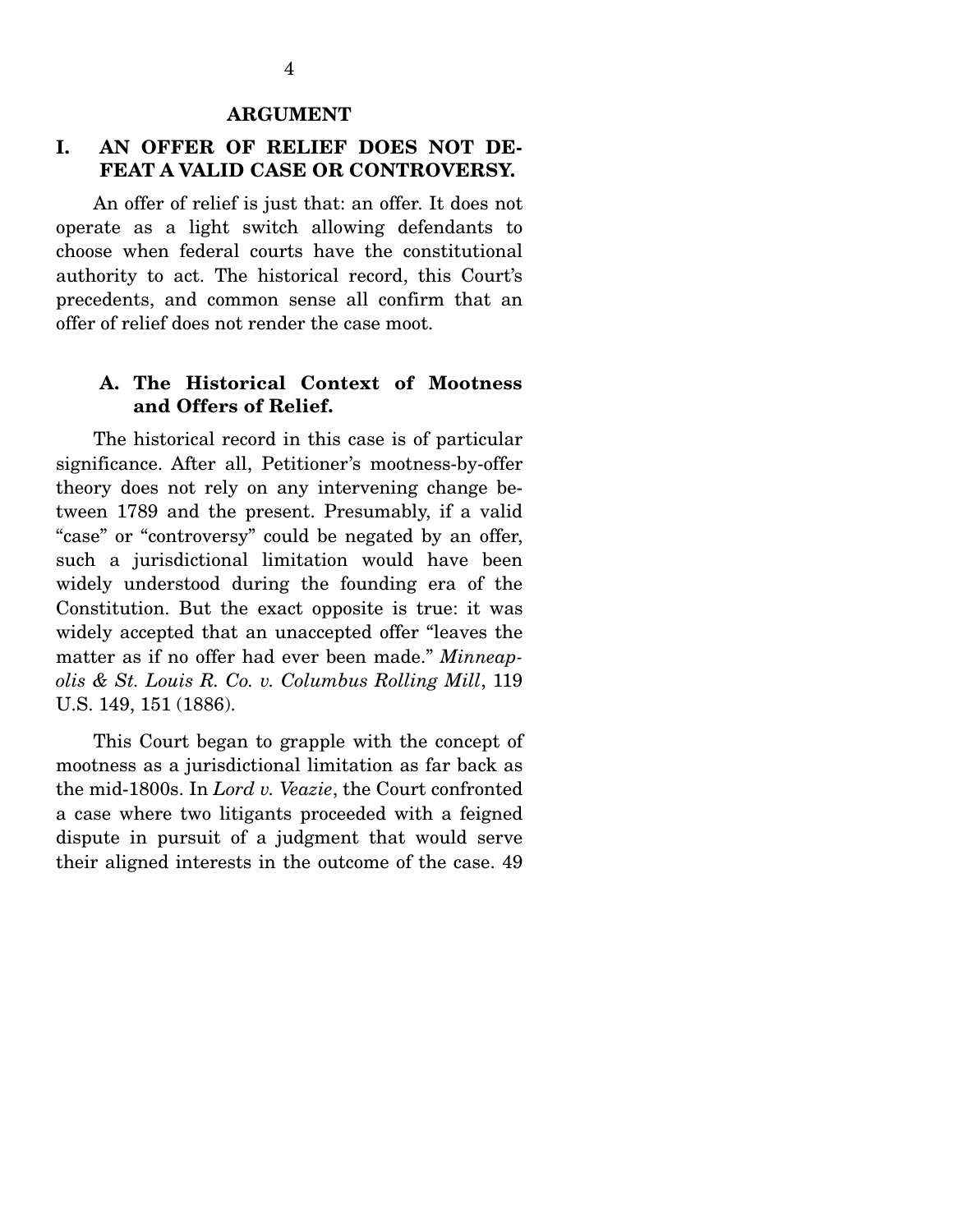#### **ARGUMENT**

### **I. AN OFFER OF RELIEF DOES NOT DE-FEAT A VALID CASE OR CONTROVERSY.**

 An offer of relief is just that: an offer. It does not operate as a light switch allowing defendants to choose when federal courts have the constitutional authority to act. The historical record, this Court's precedents, and common sense all confirm that an offer of relief does not render the case moot.

#### **A. The Historical Context of Mootness and Offers of Relief.**

 The historical record in this case is of particular significance. After all, Petitioner's mootness-by-offer theory does not rely on any intervening change between 1789 and the present. Presumably, if a valid "case" or "controversy" could be negated by an offer, such a jurisdictional limitation would have been widely understood during the founding era of the Constitution. But the exact opposite is true: it was widely accepted that an unaccepted offer "leaves the matter as if no offer had ever been made." *Minneapolis & St. Louis R. Co. v. Columbus Rolling Mill*, 119 U.S. 149, 151 (1886).

 This Court began to grapple with the concept of mootness as a jurisdictional limitation as far back as the mid-1800s. In *Lord v. Veazie*, the Court confronted a case where two litigants proceeded with a feigned dispute in pursuit of a judgment that would serve their aligned interests in the outcome of the case. 49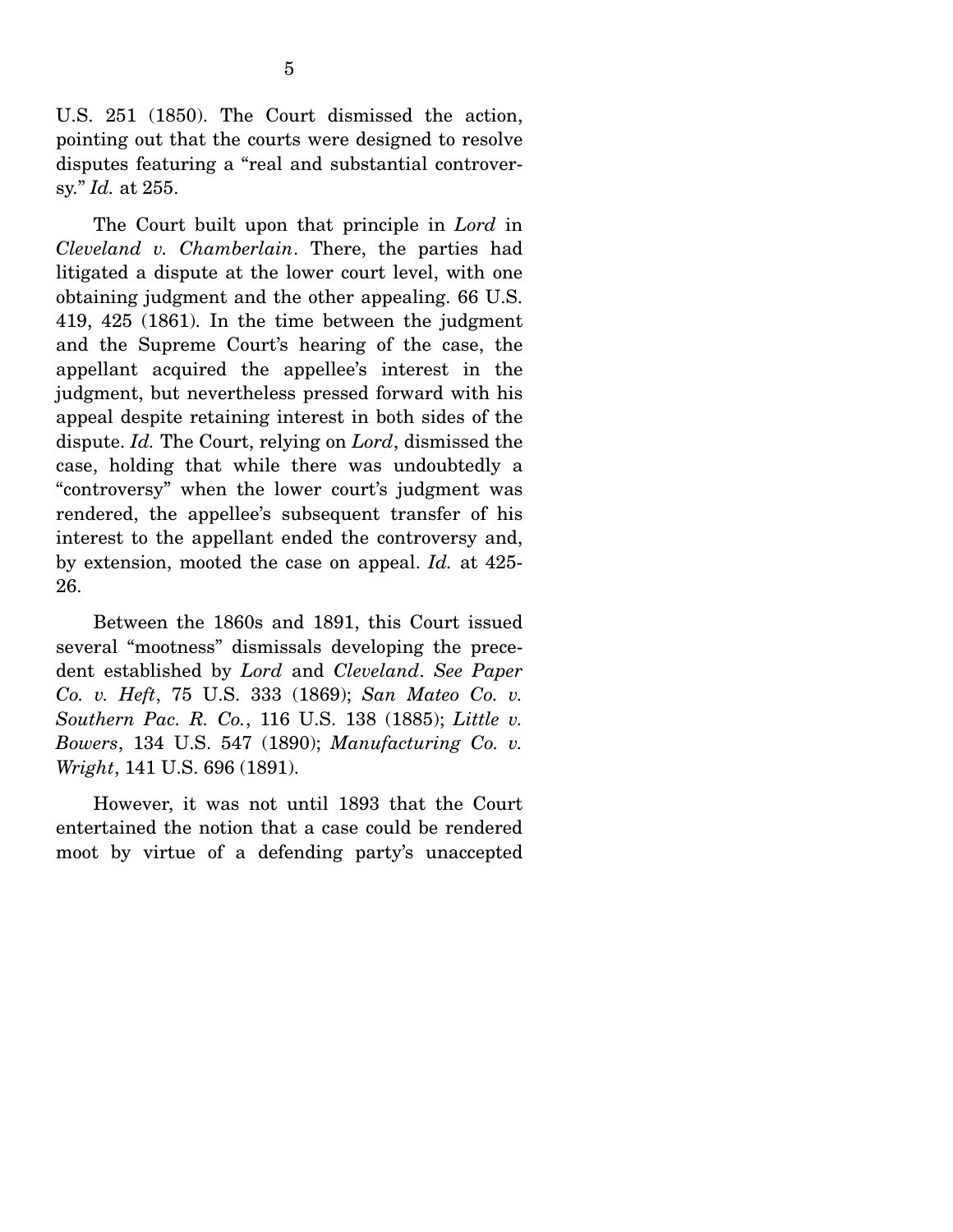U.S. 251 (1850). The Court dismissed the action, pointing out that the courts were designed to resolve disputes featuring a "real and substantial controversy." *Id.* at 255.

 The Court built upon that principle in *Lord* in *Cleveland v. Chamberlain*. There, the parties had litigated a dispute at the lower court level, with one obtaining judgment and the other appealing. 66 U.S. 419, 425 (1861). In the time between the judgment and the Supreme Court's hearing of the case, the appellant acquired the appellee's interest in the judgment, but nevertheless pressed forward with his appeal despite retaining interest in both sides of the dispute. *Id.* The Court, relying on *Lord*, dismissed the case, holding that while there was undoubtedly a "controversy" when the lower court's judgment was rendered, the appellee's subsequent transfer of his interest to the appellant ended the controversy and, by extension, mooted the case on appeal. *Id.* at 425- 26.

 Between the 1860s and 1891, this Court issued several "mootness" dismissals developing the precedent established by *Lord* and *Cleveland*. *See Paper Co. v. Heft*, 75 U.S. 333 (1869); *San Mateo Co. v. Southern Pac. R. Co.*, 116 U.S. 138 (1885); *Little v. Bowers*, 134 U.S. 547 (1890); *Manufacturing Co. v. Wright*, 141 U.S. 696 (1891).

 However, it was not until 1893 that the Court entertained the notion that a case could be rendered moot by virtue of a defending party's unaccepted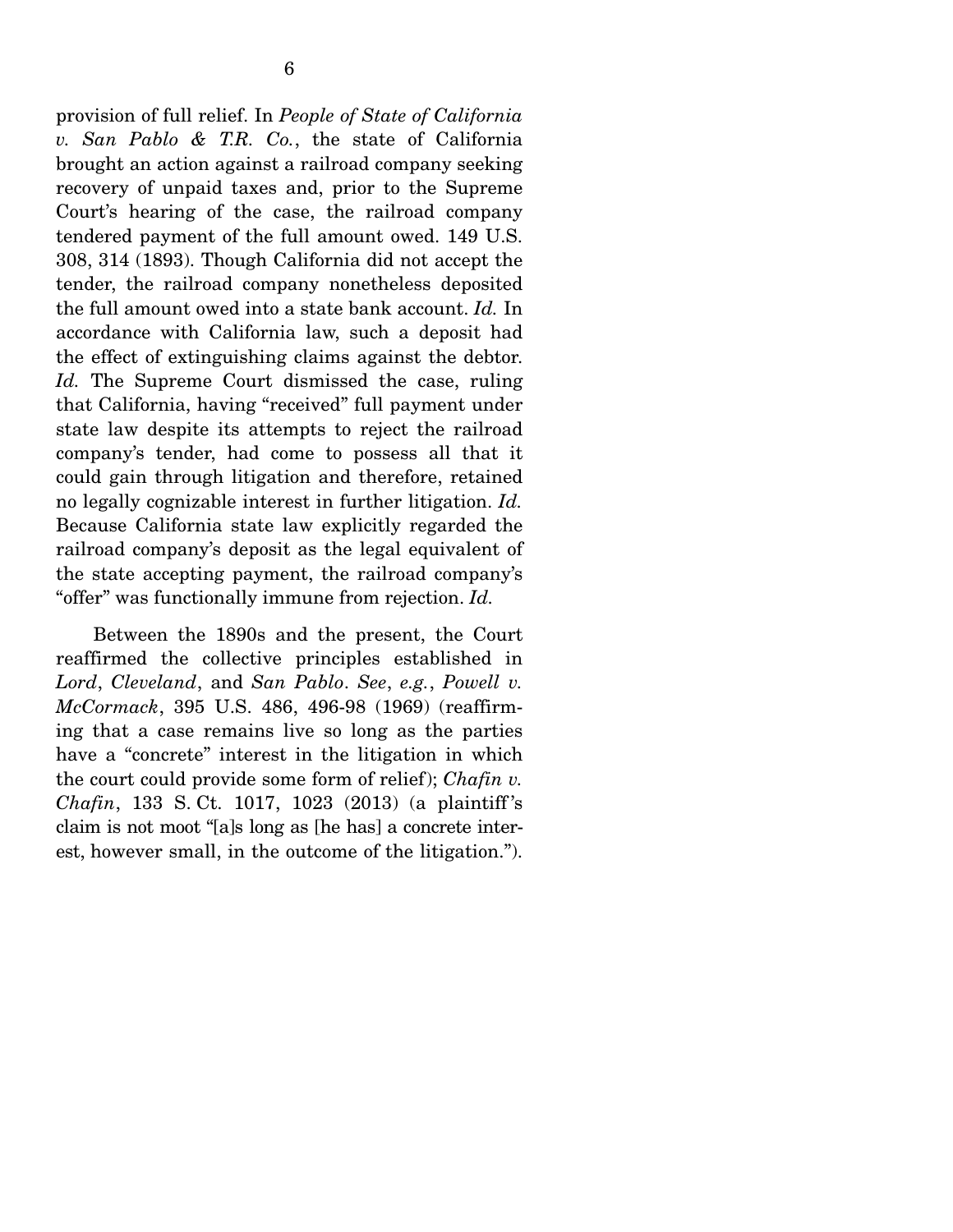provision of full relief. In *People of State of California v. San Pablo & T.R. Co.*, the state of California brought an action against a railroad company seeking recovery of unpaid taxes and, prior to the Supreme Court's hearing of the case, the railroad company tendered payment of the full amount owed. 149 U.S. 308, 314 (1893). Though California did not accept the tender, the railroad company nonetheless deposited the full amount owed into a state bank account. *Id.* In accordance with California law, such a deposit had the effect of extinguishing claims against the debtor. *Id.* The Supreme Court dismissed the case, ruling that California, having "received" full payment under state law despite its attempts to reject the railroad company's tender, had come to possess all that it could gain through litigation and therefore, retained no legally cognizable interest in further litigation. *Id.* Because California state law explicitly regarded the railroad company's deposit as the legal equivalent of the state accepting payment, the railroad company's "offer" was functionally immune from rejection. *Id.*

 Between the 1890s and the present, the Court reaffirmed the collective principles established in *Lord*, *Cleveland*, and *San Pablo*. *See*, *e.g.*, *Powell v. McCormack*, 395 U.S. 486, 496-98 (1969) (reaffirming that a case remains live so long as the parties have a "concrete" interest in the litigation in which the court could provide some form of relief); *Chafin v. Chafin*, 133 S. Ct. 1017, 1023 (2013) (a plaintiff 's claim is not moot "[a]s long as [he has] a concrete interest, however small, in the outcome of the litigation.").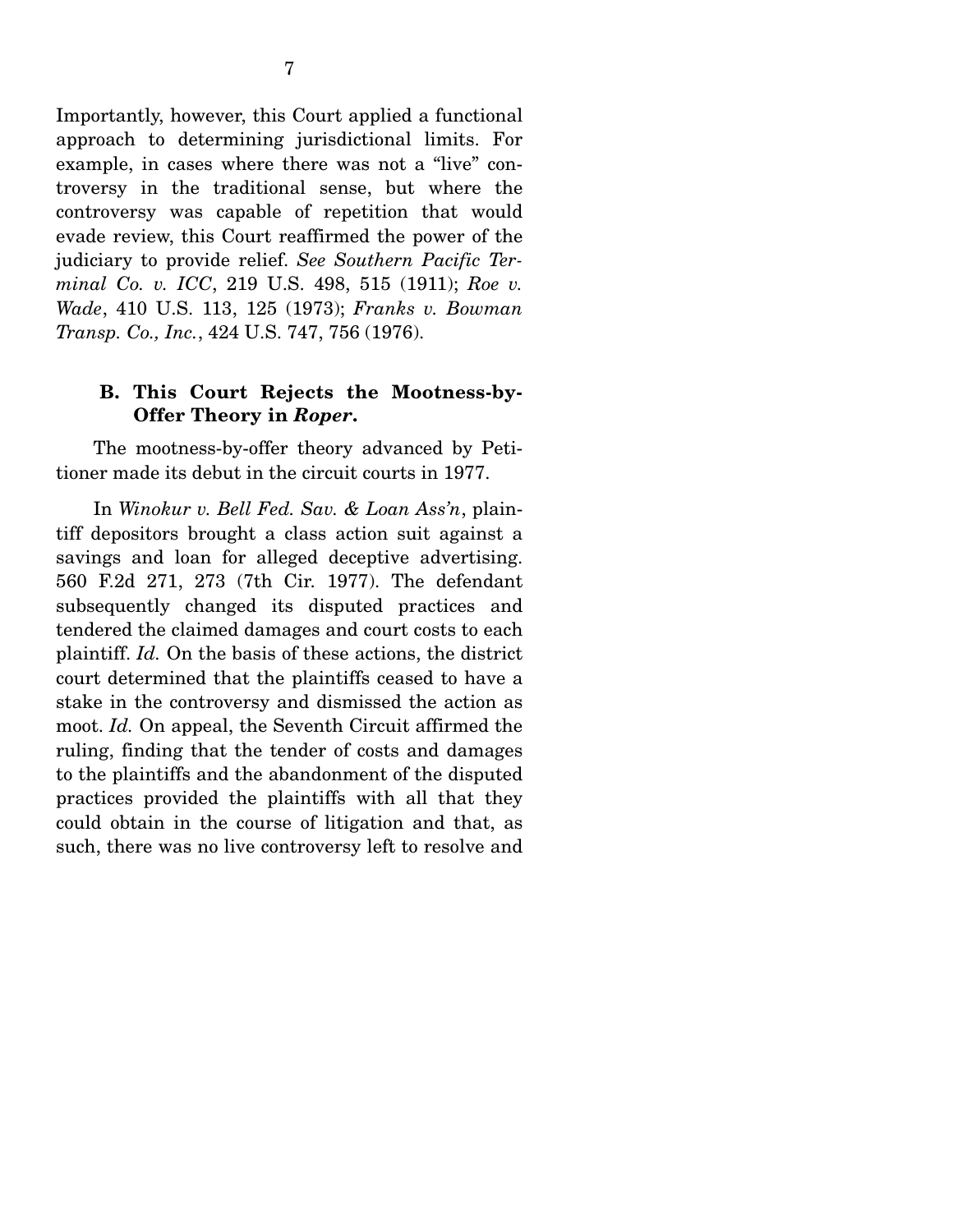Importantly, however, this Court applied a functional approach to determining jurisdictional limits. For example, in cases where there was not a "live" controversy in the traditional sense, but where the controversy was capable of repetition that would evade review, this Court reaffirmed the power of the judiciary to provide relief. *See Southern Pacific Terminal Co. v. ICC*, 219 U.S. 498, 515 (1911); *Roe v. Wade*, 410 U.S. 113, 125 (1973); *Franks v. Bowman Transp. Co., Inc.*, 424 U.S. 747, 756 (1976).

#### **B. This Court Rejects the Mootness-by-Offer Theory in** *Roper***.**

 The mootness-by-offer theory advanced by Petitioner made its debut in the circuit courts in 1977.

 In *Winokur v. Bell Fed. Sav. & Loan Ass'n*, plaintiff depositors brought a class action suit against a savings and loan for alleged deceptive advertising. 560 F.2d 271, 273 (7th Cir. 1977). The defendant subsequently changed its disputed practices and tendered the claimed damages and court costs to each plaintiff. *Id.* On the basis of these actions, the district court determined that the plaintiffs ceased to have a stake in the controversy and dismissed the action as moot. *Id.* On appeal, the Seventh Circuit affirmed the ruling, finding that the tender of costs and damages to the plaintiffs and the abandonment of the disputed practices provided the plaintiffs with all that they could obtain in the course of litigation and that, as such, there was no live controversy left to resolve and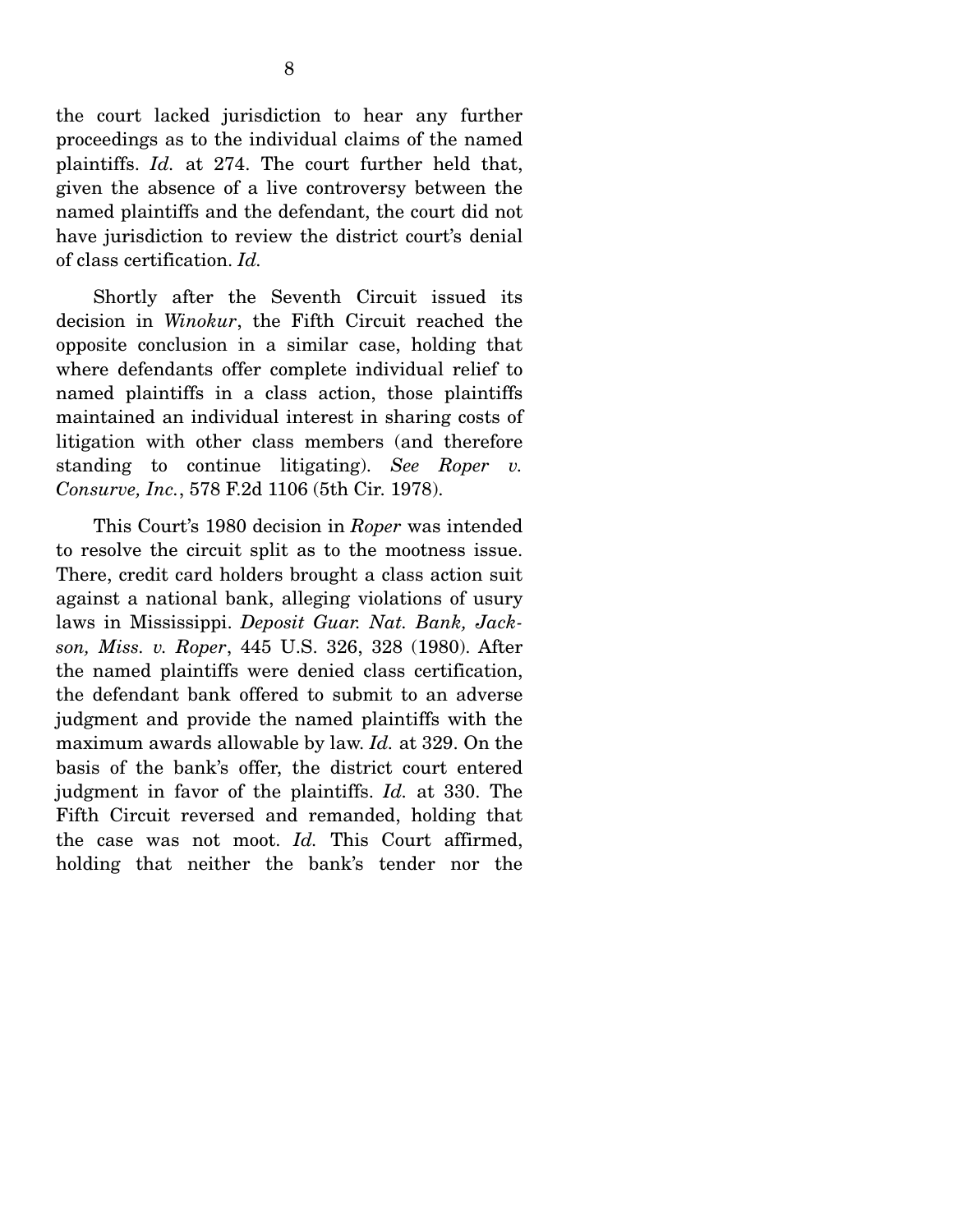the court lacked jurisdiction to hear any further proceedings as to the individual claims of the named plaintiffs. *Id.* at 274. The court further held that, given the absence of a live controversy between the named plaintiffs and the defendant, the court did not have jurisdiction to review the district court's denial of class certification. *Id.*

 Shortly after the Seventh Circuit issued its decision in *Winokur*, the Fifth Circuit reached the opposite conclusion in a similar case, holding that where defendants offer complete individual relief to named plaintiffs in a class action, those plaintiffs maintained an individual interest in sharing costs of litigation with other class members (and therefore standing to continue litigating). *See Roper v. Consurve, Inc.*, 578 F.2d 1106 (5th Cir. 1978).

This Court's 1980 decision in *Roper* was intended to resolve the circuit split as to the mootness issue. There, credit card holders brought a class action suit against a national bank, alleging violations of usury laws in Mississippi. *Deposit Guar. Nat. Bank, Jackson, Miss. v. Roper*, 445 U.S. 326, 328 (1980). After the named plaintiffs were denied class certification, the defendant bank offered to submit to an adverse judgment and provide the named plaintiffs with the maximum awards allowable by law. *Id.* at 329. On the basis of the bank's offer, the district court entered judgment in favor of the plaintiffs. *Id.* at 330. The Fifth Circuit reversed and remanded, holding that the case was not moot. *Id.* This Court affirmed, holding that neither the bank's tender nor the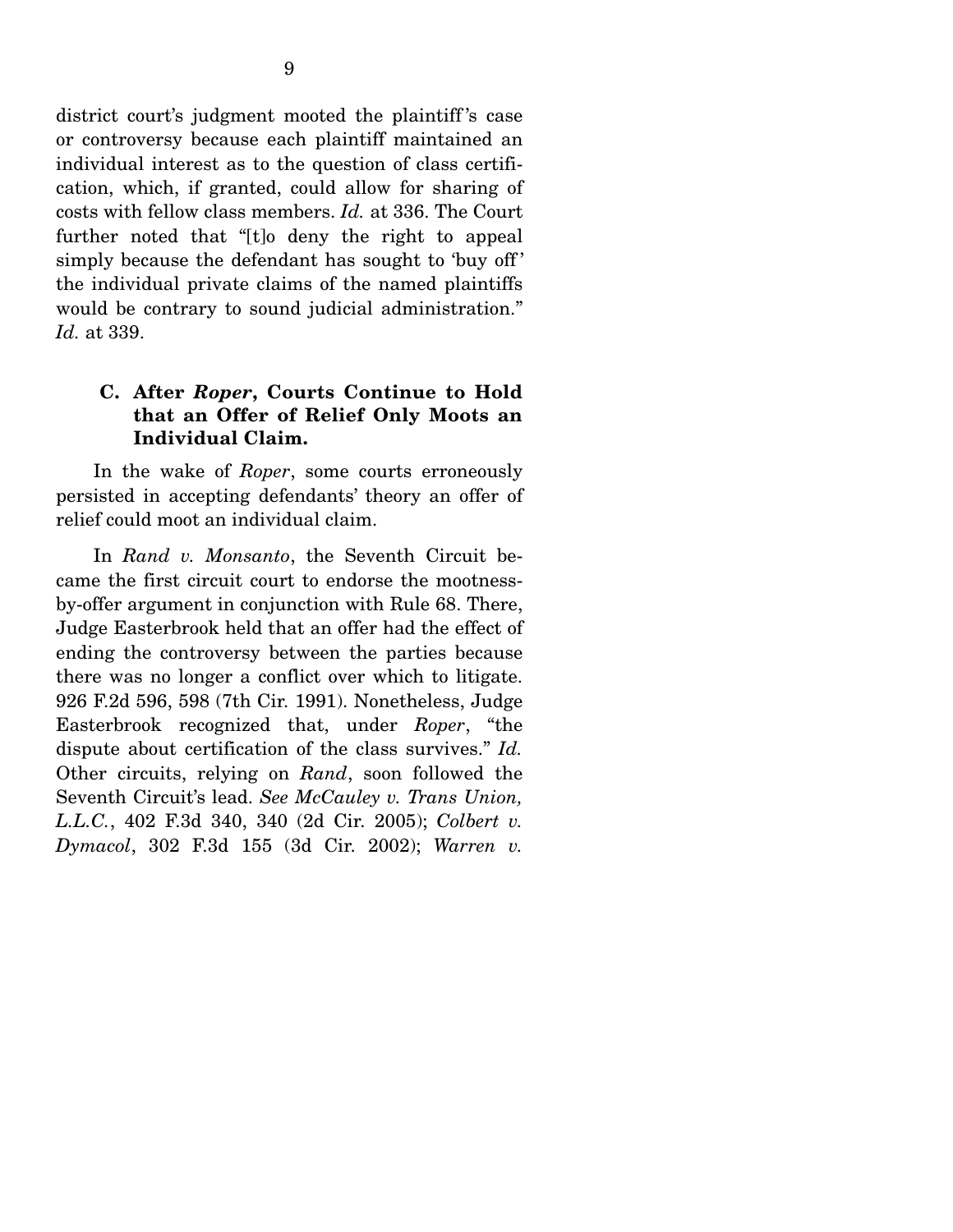district court's judgment mooted the plaintiff 's case or controversy because each plaintiff maintained an individual interest as to the question of class certification, which, if granted, could allow for sharing of costs with fellow class members. *Id.* at 336. The Court further noted that "[t]o deny the right to appeal simply because the defendant has sought to 'buy off ' the individual private claims of the named plaintiffs would be contrary to sound judicial administration." *Id.* at 339.

#### **C. After** *Roper***, Courts Continue to Hold that an Offer of Relief Only Moots an Individual Claim.**

 In the wake of *Roper*, some courts erroneously persisted in accepting defendants' theory an offer of relief could moot an individual claim.

 In *Rand v. Monsanto*, the Seventh Circuit became the first circuit court to endorse the mootnessby-offer argument in conjunction with Rule 68. There, Judge Easterbrook held that an offer had the effect of ending the controversy between the parties because there was no longer a conflict over which to litigate. 926 F.2d 596, 598 (7th Cir. 1991). Nonetheless, Judge Easterbrook recognized that, under *Roper*, "the dispute about certification of the class survives." *Id.*  Other circuits, relying on *Rand*, soon followed the Seventh Circuit's lead. *See McCauley v. Trans Union, L.L.C.*, 402 F.3d 340, 340 (2d Cir. 2005); *Colbert v. Dymacol*, 302 F.3d 155 (3d Cir. 2002); *Warren v.*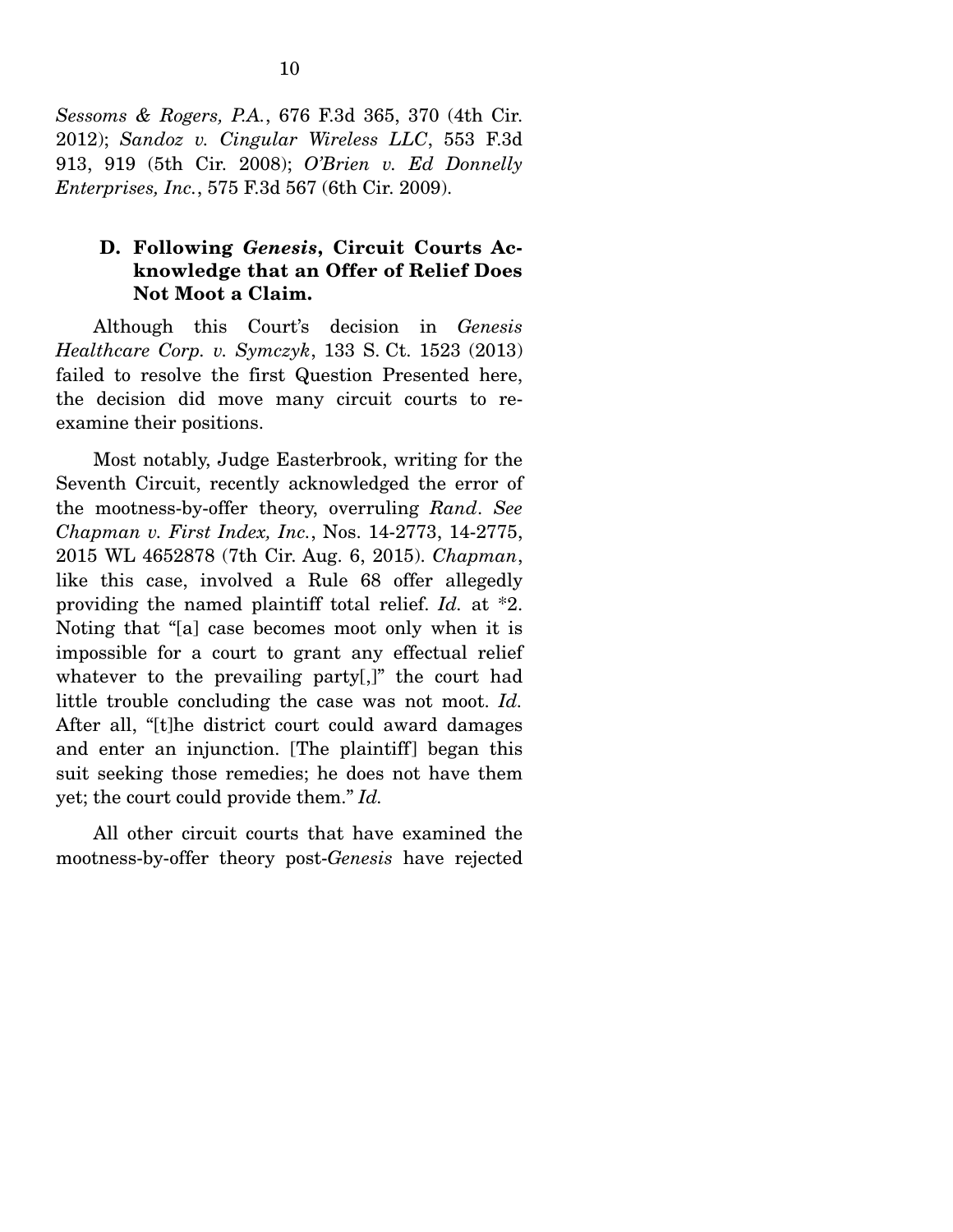*Sessoms & Rogers, P.A.*, 676 F.3d 365, 370 (4th Cir. 2012); *Sandoz v. Cingular Wireless LLC*, 553 F.3d 913, 919 (5th Cir. 2008); *O'Brien v. Ed Donnelly Enterprises, Inc.*, 575 F.3d 567 (6th Cir. 2009).

### **D. Following** *Genesis***, Circuit Courts Acknowledge that an Offer of Relief Does Not Moot a Claim.**

 Although this Court's decision in *Genesis Healthcare Corp. v. Symczyk*, 133 S. Ct. 1523 (2013) failed to resolve the first Question Presented here, the decision did move many circuit courts to reexamine their positions.

 Most notably, Judge Easterbrook, writing for the Seventh Circuit, recently acknowledged the error of the mootness-by-offer theory, overruling *Rand*. *See Chapman v. First Index, Inc.*, Nos. 14-2773, 14-2775, 2015 WL 4652878 (7th Cir. Aug. 6, 2015). *Chapman*, like this case, involved a Rule 68 offer allegedly providing the named plaintiff total relief. *Id.* at \*2. Noting that "[a] case becomes moot only when it is impossible for a court to grant any effectual relief whatever to the prevailing party[,]" the court had little trouble concluding the case was not moot. *Id.*  After all, "[t]he district court could award damages and enter an injunction. [The plaintiff] began this suit seeking those remedies; he does not have them yet; the court could provide them." *Id.* 

All other circuit courts that have examined the mootness-by-offer theory post-*Genesis* have rejected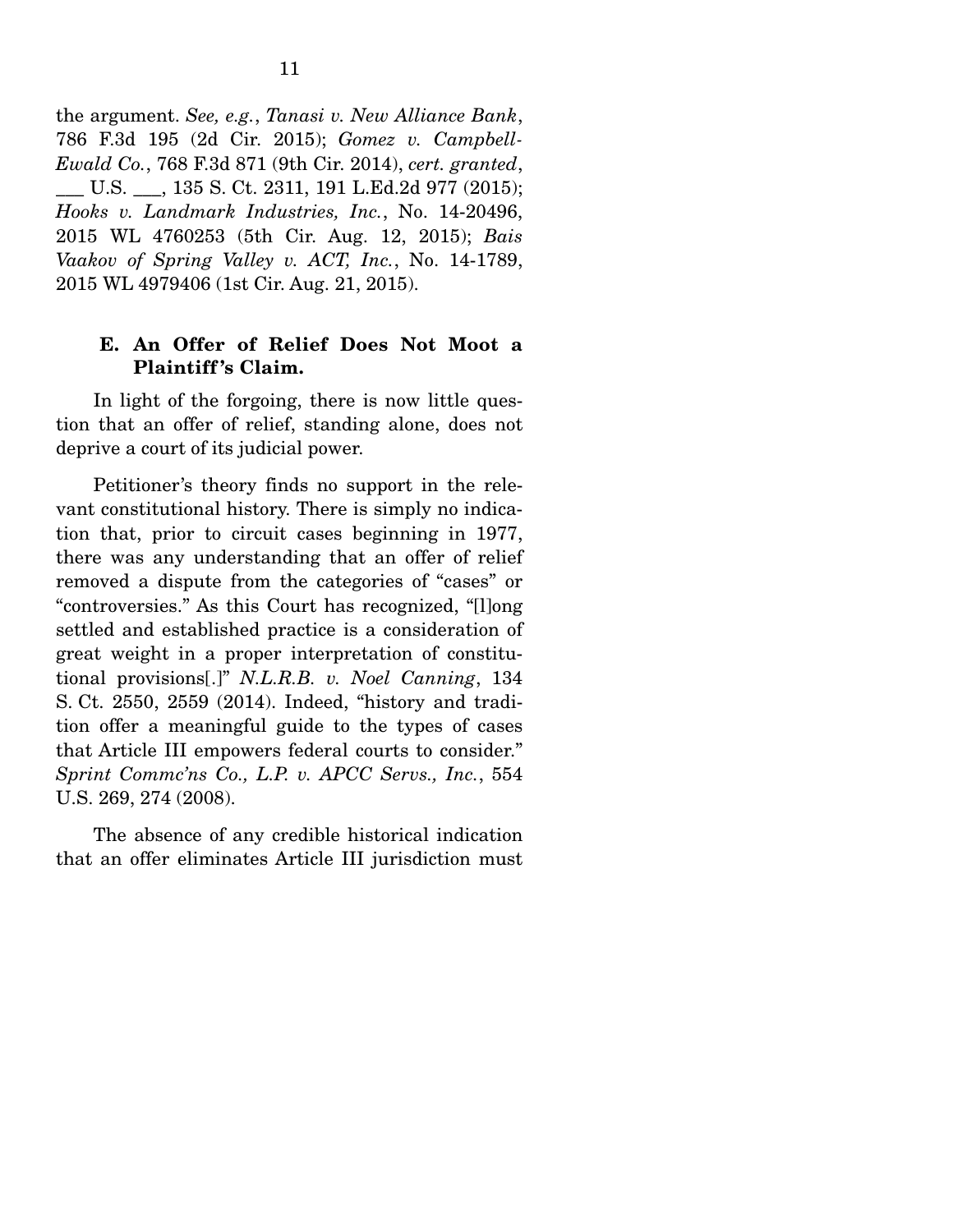the argument. *See, e.g.*, *Tanasi v. New Alliance Bank*, 786 F.3d 195 (2d Cir. 2015); *Gomez v. Campbell-Ewald Co.*, 768 F.3d 871 (9th Cir. 2014), *cert. granted*, \_\_\_ U.S. \_\_\_, 135 S. Ct. 2311, 191 L.Ed.2d 977 (2015); *Hooks v. Landmark Industries, Inc.*, No. 14-20496, 2015 WL 4760253 (5th Cir. Aug. 12, 2015); *Bais Vaakov of Spring Valley v. ACT, Inc.*, No. 14-1789, 2015 WL 4979406 (1st Cir. Aug. 21, 2015).

#### **E. An Offer of Relief Does Not Moot a Plaintiff 's Claim.**

 In light of the forgoing, there is now little question that an offer of relief, standing alone, does not deprive a court of its judicial power.

 Petitioner's theory finds no support in the relevant constitutional history. There is simply no indication that, prior to circuit cases beginning in 1977, there was any understanding that an offer of relief removed a dispute from the categories of "cases" or "controversies." As this Court has recognized, "[l]ong settled and established practice is a consideration of great weight in a proper interpretation of constitutional provisions[.]" *N.L.R.B. v. Noel Canning*, 134 S. Ct. 2550, 2559 (2014). Indeed, "history and tradition offer a meaningful guide to the types of cases that Article III empowers federal courts to consider." *Sprint Commc'ns Co., L.P. v. APCC Servs., Inc.*, 554 U.S. 269, 274 (2008).

 The absence of any credible historical indication that an offer eliminates Article III jurisdiction must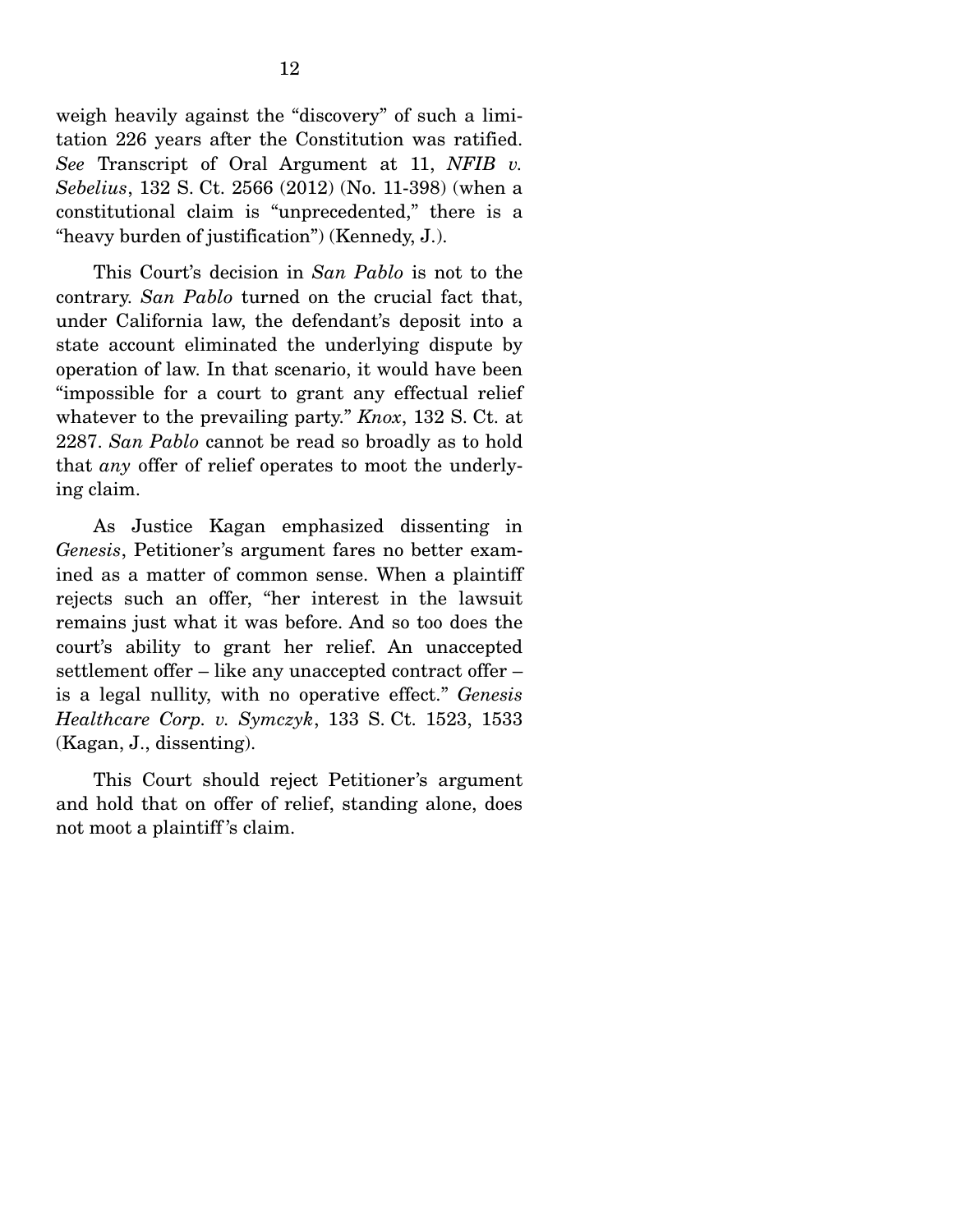weigh heavily against the "discovery" of such a limitation 226 years after the Constitution was ratified. *See* Transcript of Oral Argument at 11, *NFIB v. Sebelius*, 132 S. Ct. 2566 (2012) (No. 11-398) (when a constitutional claim is "unprecedented," there is a "heavy burden of justification") (Kennedy, J.).

 This Court's decision in *San Pablo* is not to the contrary. *San Pablo* turned on the crucial fact that, under California law, the defendant's deposit into a state account eliminated the underlying dispute by operation of law. In that scenario, it would have been "impossible for a court to grant any effectual relief whatever to the prevailing party." *Knox*, 132 S. Ct. at 2287. *San Pablo* cannot be read so broadly as to hold that *any* offer of relief operates to moot the underlying claim.

 As Justice Kagan emphasized dissenting in *Genesis*, Petitioner's argument fares no better examined as a matter of common sense. When a plaintiff rejects such an offer, "her interest in the lawsuit remains just what it was before. And so too does the court's ability to grant her relief. An unaccepted settlement offer – like any unaccepted contract offer – is a legal nullity, with no operative effect." *Genesis Healthcare Corp. v. Symczyk*, 133 S. Ct. 1523, 1533 (Kagan, J., dissenting).

 This Court should reject Petitioner's argument and hold that on offer of relief, standing alone, does not moot a plaintiff 's claim.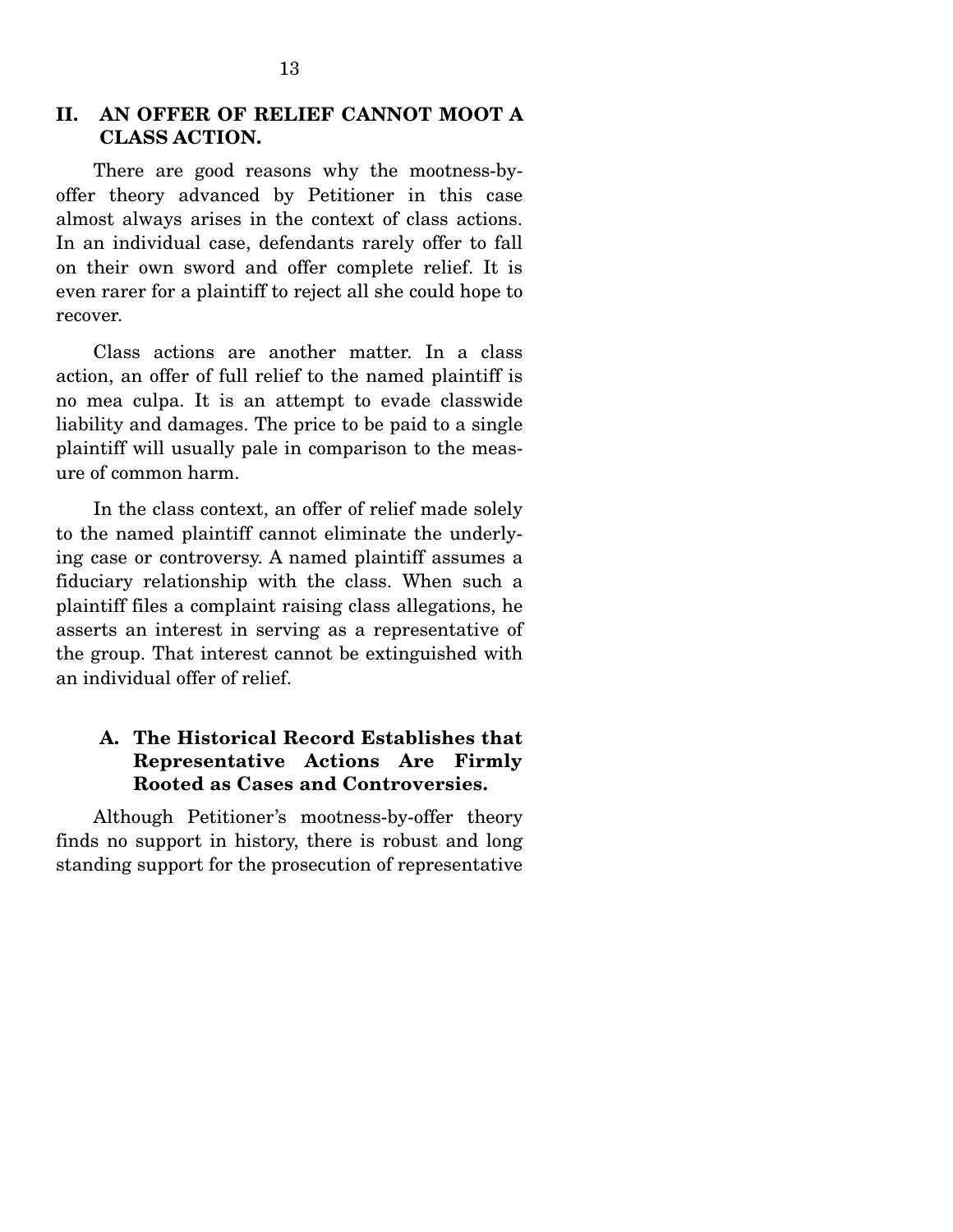#### **II. AN OFFER OF RELIEF CANNOT MOOT A CLASS ACTION.**

 There are good reasons why the mootness-byoffer theory advanced by Petitioner in this case almost always arises in the context of class actions. In an individual case, defendants rarely offer to fall on their own sword and offer complete relief. It is even rarer for a plaintiff to reject all she could hope to recover.

 Class actions are another matter. In a class action, an offer of full relief to the named plaintiff is no mea culpa. It is an attempt to evade classwide liability and damages. The price to be paid to a single plaintiff will usually pale in comparison to the measure of common harm.

 In the class context, an offer of relief made solely to the named plaintiff cannot eliminate the underlying case or controversy. A named plaintiff assumes a fiduciary relationship with the class. When such a plaintiff files a complaint raising class allegations, he asserts an interest in serving as a representative of the group. That interest cannot be extinguished with an individual offer of relief.

## **A. The Historical Record Establishes that Representative Actions Are Firmly Rooted as Cases and Controversies.**

 Although Petitioner's mootness-by-offer theory finds no support in history, there is robust and long standing support for the prosecution of representative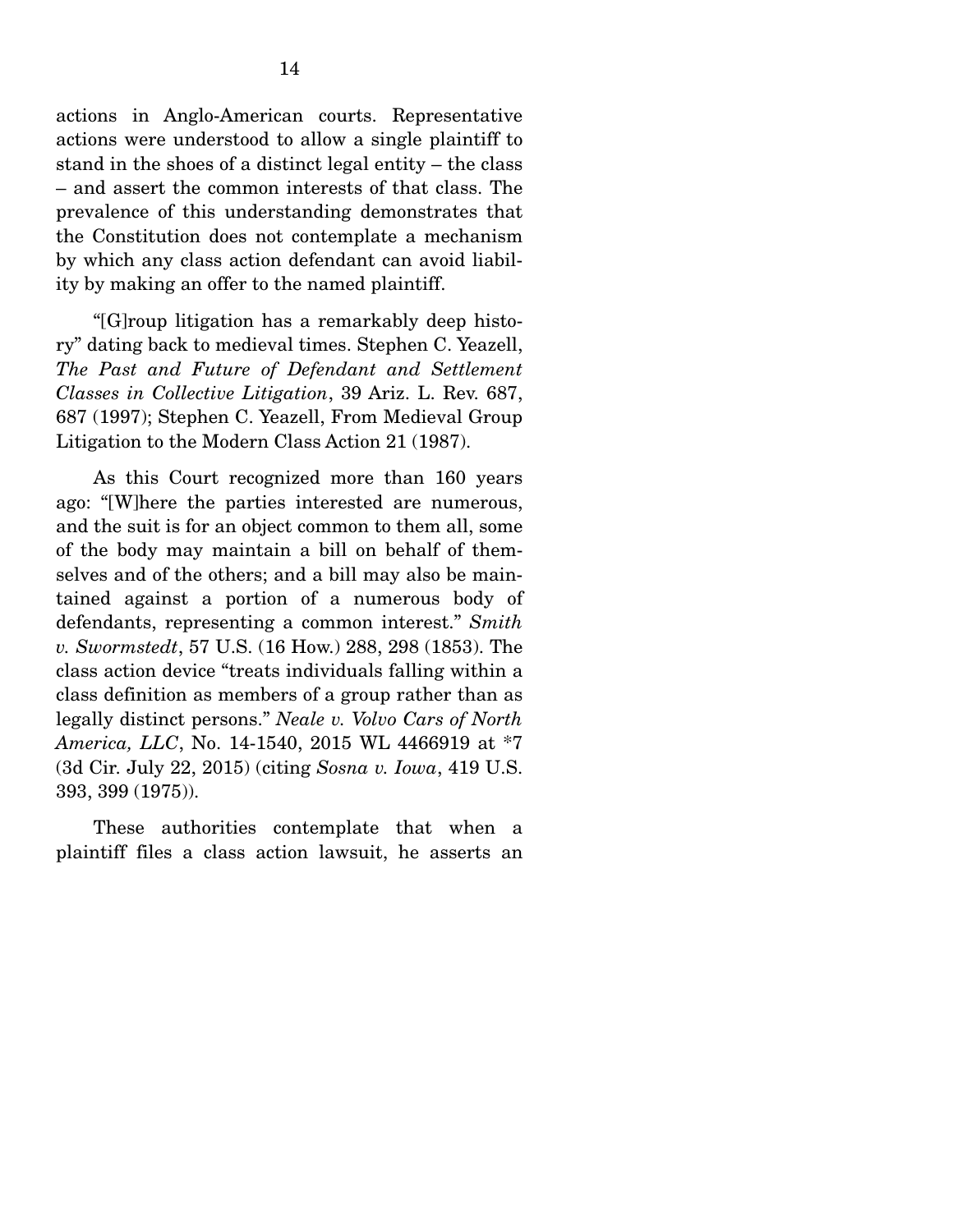actions in Anglo-American courts. Representative actions were understood to allow a single plaintiff to stand in the shoes of a distinct legal entity – the class – and assert the common interests of that class. The prevalence of this understanding demonstrates that the Constitution does not contemplate a mechanism by which any class action defendant can avoid liability by making an offer to the named plaintiff.

 "[G]roup litigation has a remarkably deep history" dating back to medieval times. Stephen C. Yeazell, *The Past and Future of Defendant and Settlement Classes in Collective Litigation*, 39 Ariz. L. Rev. 687, 687 (1997); Stephen C. Yeazell, From Medieval Group Litigation to the Modern Class Action 21 (1987).

 As this Court recognized more than 160 years ago: "[W]here the parties interested are numerous, and the suit is for an object common to them all, some of the body may maintain a bill on behalf of themselves and of the others; and a bill may also be maintained against a portion of a numerous body of defendants, representing a common interest." *Smith v. Swormstedt*, 57 U.S. (16 How.) 288, 298 (1853). The class action device "treats individuals falling within a class definition as members of a group rather than as legally distinct persons." *Neale v. Volvo Cars of North America, LLC*, No. 14-1540, 2015 WL 4466919 at \*7 (3d Cir. July 22, 2015) (citing *Sosna v. Iowa*, 419 U.S. 393, 399 (1975)).

 These authorities contemplate that when a plaintiff files a class action lawsuit, he asserts an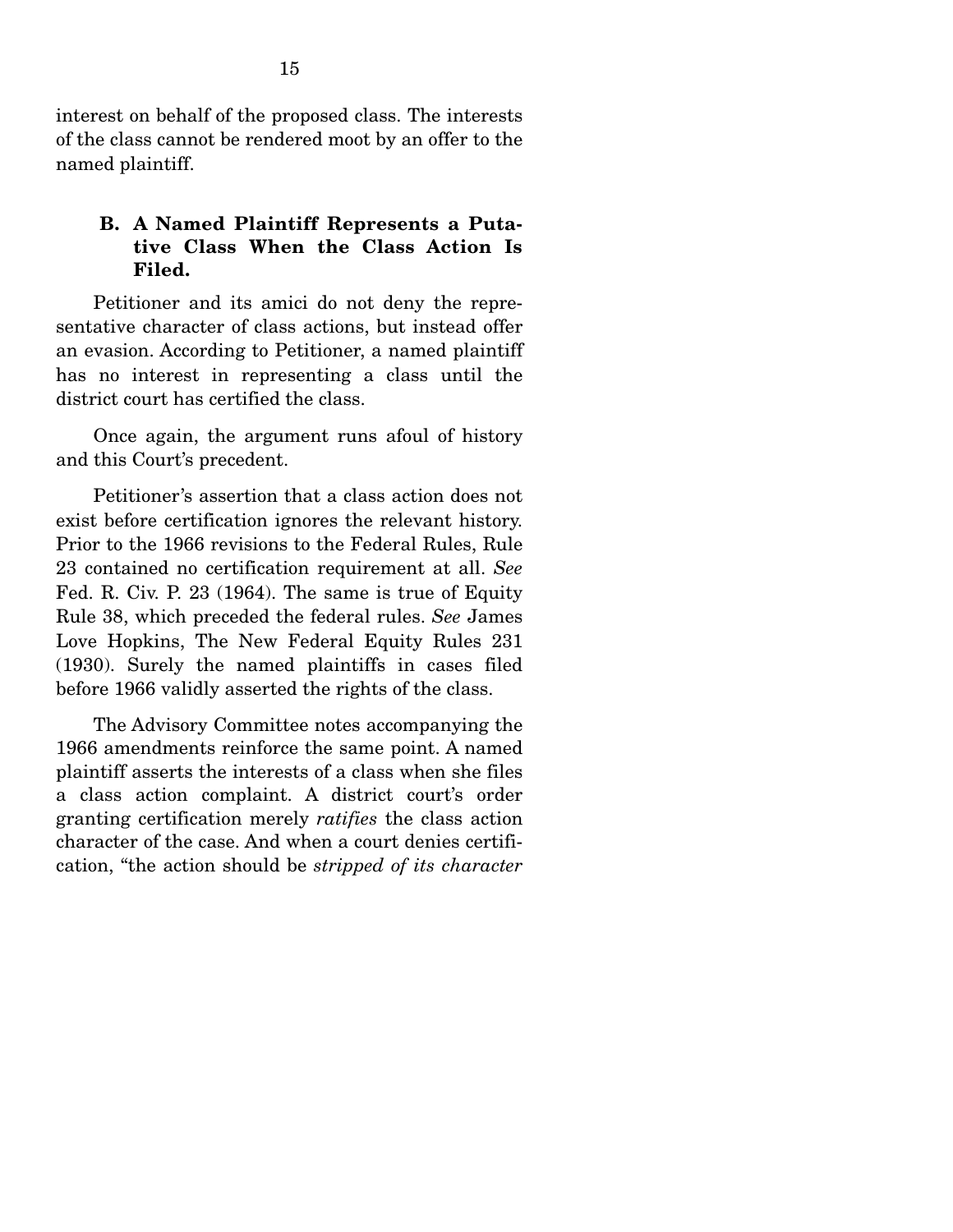interest on behalf of the proposed class. The interests of the class cannot be rendered moot by an offer to the named plaintiff.

### **B. A Named Plaintiff Represents a Putative Class When the Class Action Is Filed.**

 Petitioner and its amici do not deny the representative character of class actions, but instead offer an evasion. According to Petitioner, a named plaintiff has no interest in representing a class until the district court has certified the class.

 Once again, the argument runs afoul of history and this Court's precedent.

 Petitioner's assertion that a class action does not exist before certification ignores the relevant history. Prior to the 1966 revisions to the Federal Rules, Rule 23 contained no certification requirement at all. *See* Fed. R. Civ. P. 23 (1964). The same is true of Equity Rule 38, which preceded the federal rules. *See* James Love Hopkins, The New Federal Equity Rules 231 (1930). Surely the named plaintiffs in cases filed before 1966 validly asserted the rights of the class.

 The Advisory Committee notes accompanying the 1966 amendments reinforce the same point. A named plaintiff asserts the interests of a class when she files a class action complaint. A district court's order granting certification merely *ratifies* the class action character of the case. And when a court denies certification, "the action should be *stripped of its character*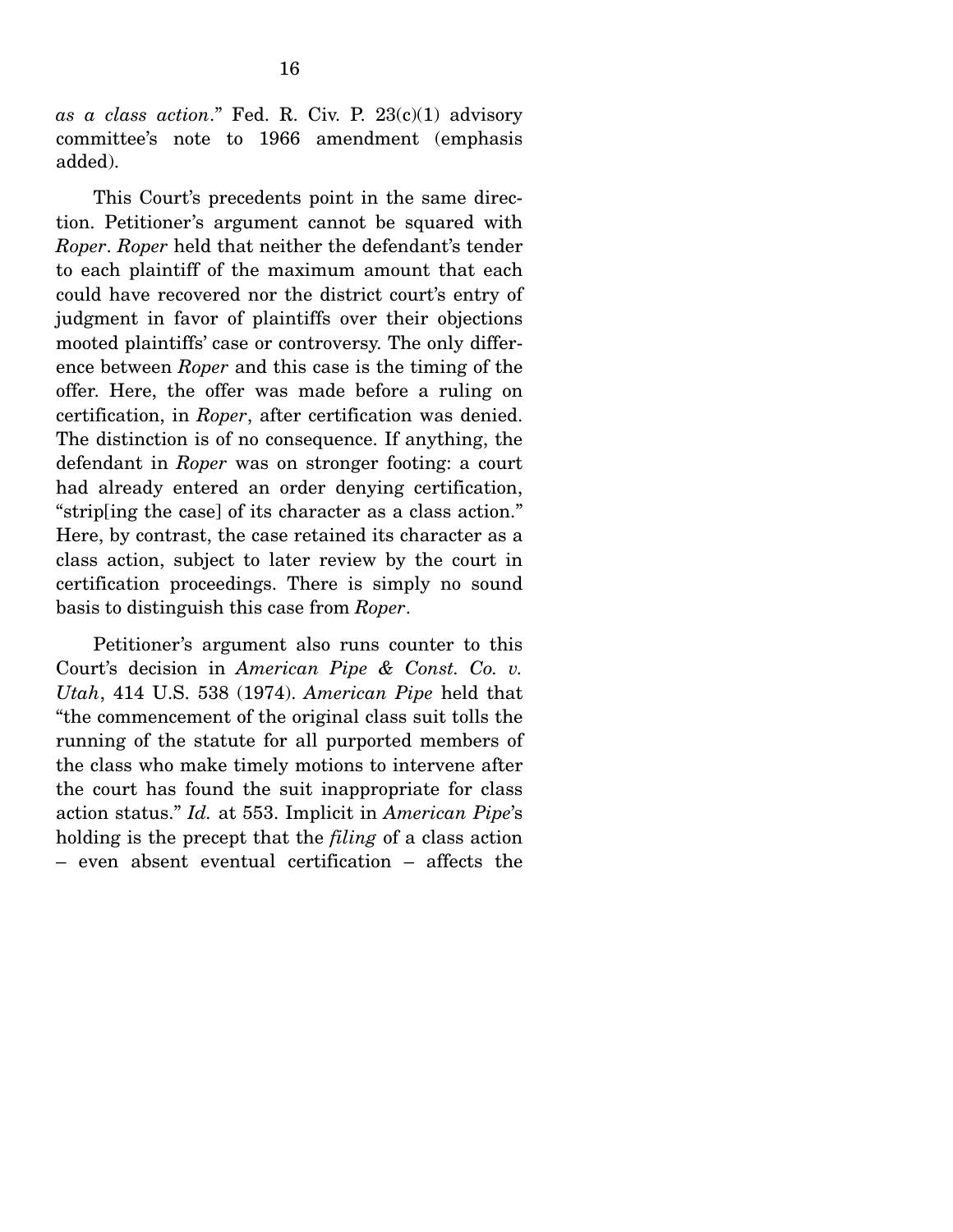*as a class action*." Fed. R. Civ. P. 23(c)(1) advisory committee's note to 1966 amendment (emphasis added).

 This Court's precedents point in the same direction. Petitioner's argument cannot be squared with *Roper*. *Roper* held that neither the defendant's tender to each plaintiff of the maximum amount that each could have recovered nor the district court's entry of judgment in favor of plaintiffs over their objections mooted plaintiffs' case or controversy. The only difference between *Roper* and this case is the timing of the offer. Here, the offer was made before a ruling on certification, in *Roper*, after certification was denied. The distinction is of no consequence. If anything, the defendant in *Roper* was on stronger footing: a court had already entered an order denying certification, "strip[ing the case] of its character as a class action." Here, by contrast, the case retained its character as a class action, subject to later review by the court in certification proceedings. There is simply no sound basis to distinguish this case from *Roper*.

 Petitioner's argument also runs counter to this Court's decision in *American Pipe & Const. Co. v. Utah*, 414 U.S. 538 (1974). *American Pipe* held that "the commencement of the original class suit tolls the running of the statute for all purported members of the class who make timely motions to intervene after the court has found the suit inappropriate for class action status." *Id.* at 553. Implicit in *American Pipe*'s holding is the precept that the *filing* of a class action – even absent eventual certification – affects the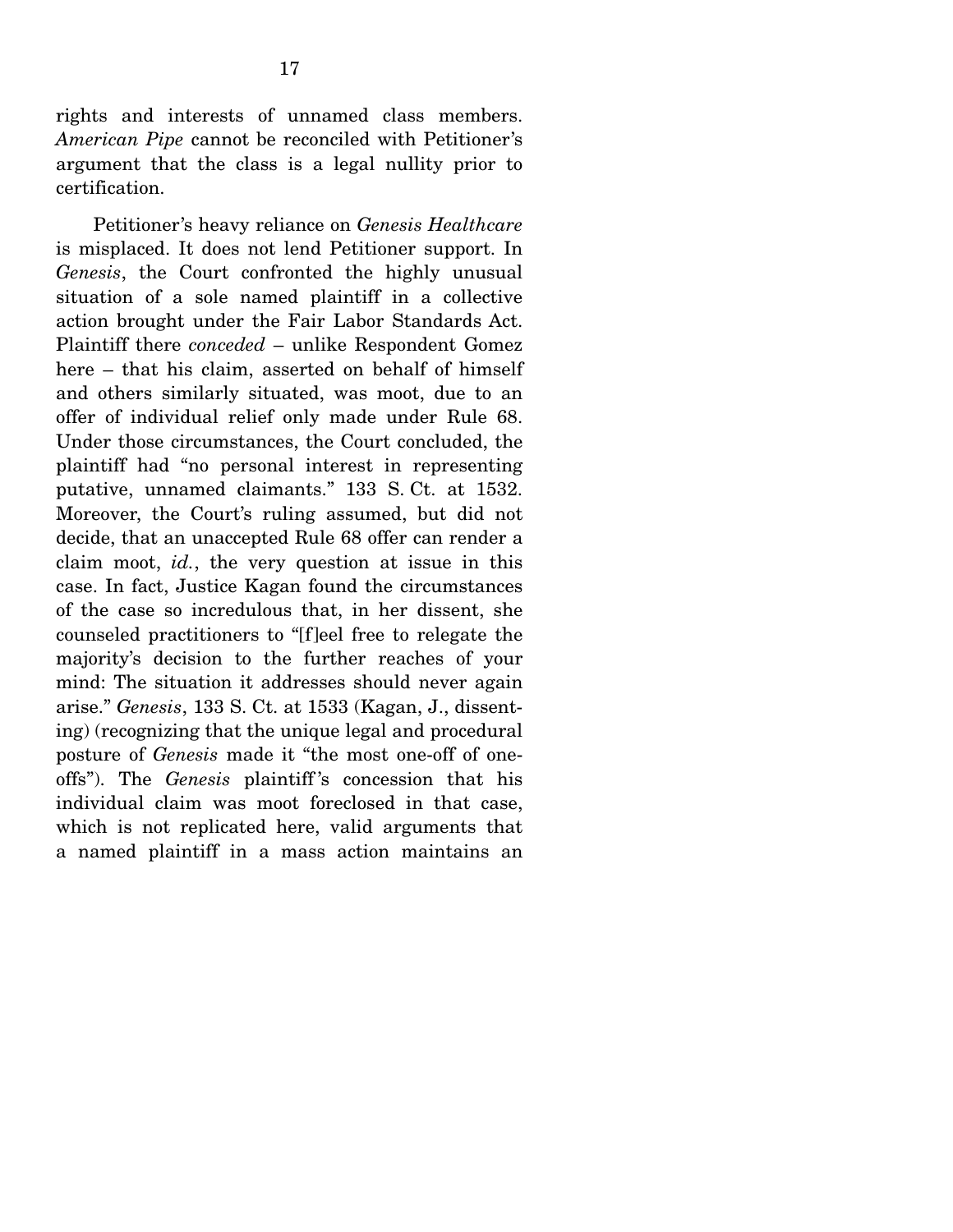rights and interests of unnamed class members. *American Pipe* cannot be reconciled with Petitioner's argument that the class is a legal nullity prior to certification.

 Petitioner's heavy reliance on *Genesis Healthcare* is misplaced. It does not lend Petitioner support. In *Genesis*, the Court confronted the highly unusual situation of a sole named plaintiff in a collective action brought under the Fair Labor Standards Act. Plaintiff there *conceded* – unlike Respondent Gomez here – that his claim, asserted on behalf of himself and others similarly situated, was moot, due to an offer of individual relief only made under Rule 68. Under those circumstances, the Court concluded, the plaintiff had "no personal interest in representing putative, unnamed claimants." 133 S. Ct. at 1532. Moreover, the Court's ruling assumed, but did not decide, that an unaccepted Rule 68 offer can render a claim moot, *id.*, the very question at issue in this case. In fact, Justice Kagan found the circumstances of the case so incredulous that, in her dissent, she counseled practitioners to "[f]eel free to relegate the majority's decision to the further reaches of your mind: The situation it addresses should never again arise." *Genesis*, 133 S. Ct. at 1533 (Kagan, J., dissenting) (recognizing that the unique legal and procedural posture of *Genesis* made it "the most one-off of oneoffs"). The *Genesis* plaintiff 's concession that his individual claim was moot foreclosed in that case, which is not replicated here, valid arguments that a named plaintiff in a mass action maintains an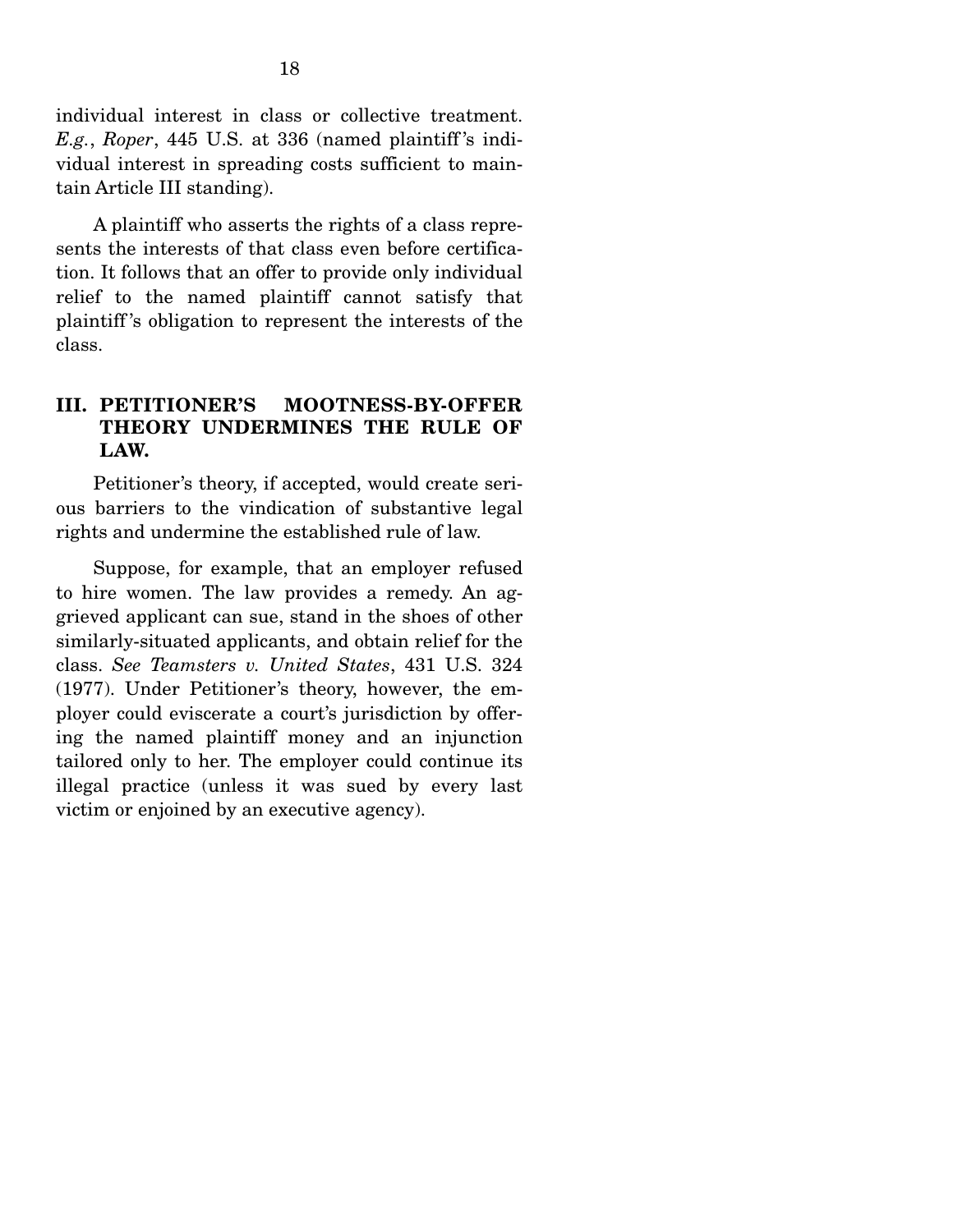individual interest in class or collective treatment. *E.g.*, *Roper*, 445 U.S. at 336 (named plaintiff 's individual interest in spreading costs sufficient to maintain Article III standing).

 A plaintiff who asserts the rights of a class represents the interests of that class even before certification. It follows that an offer to provide only individual relief to the named plaintiff cannot satisfy that plaintiff 's obligation to represent the interests of the class.

### **III. PETITIONER'S MOOTNESS-BY-OFFER THEORY UNDERMINES THE RULE OF LAW.**

 Petitioner's theory, if accepted, would create serious barriers to the vindication of substantive legal rights and undermine the established rule of law.

 Suppose, for example, that an employer refused to hire women. The law provides a remedy. An aggrieved applicant can sue, stand in the shoes of other similarly-situated applicants, and obtain relief for the class. *See Teamsters v. United States*, 431 U.S. 324 (1977). Under Petitioner's theory, however, the employer could eviscerate a court's jurisdiction by offering the named plaintiff money and an injunction tailored only to her. The employer could continue its illegal practice (unless it was sued by every last victim or enjoined by an executive agency).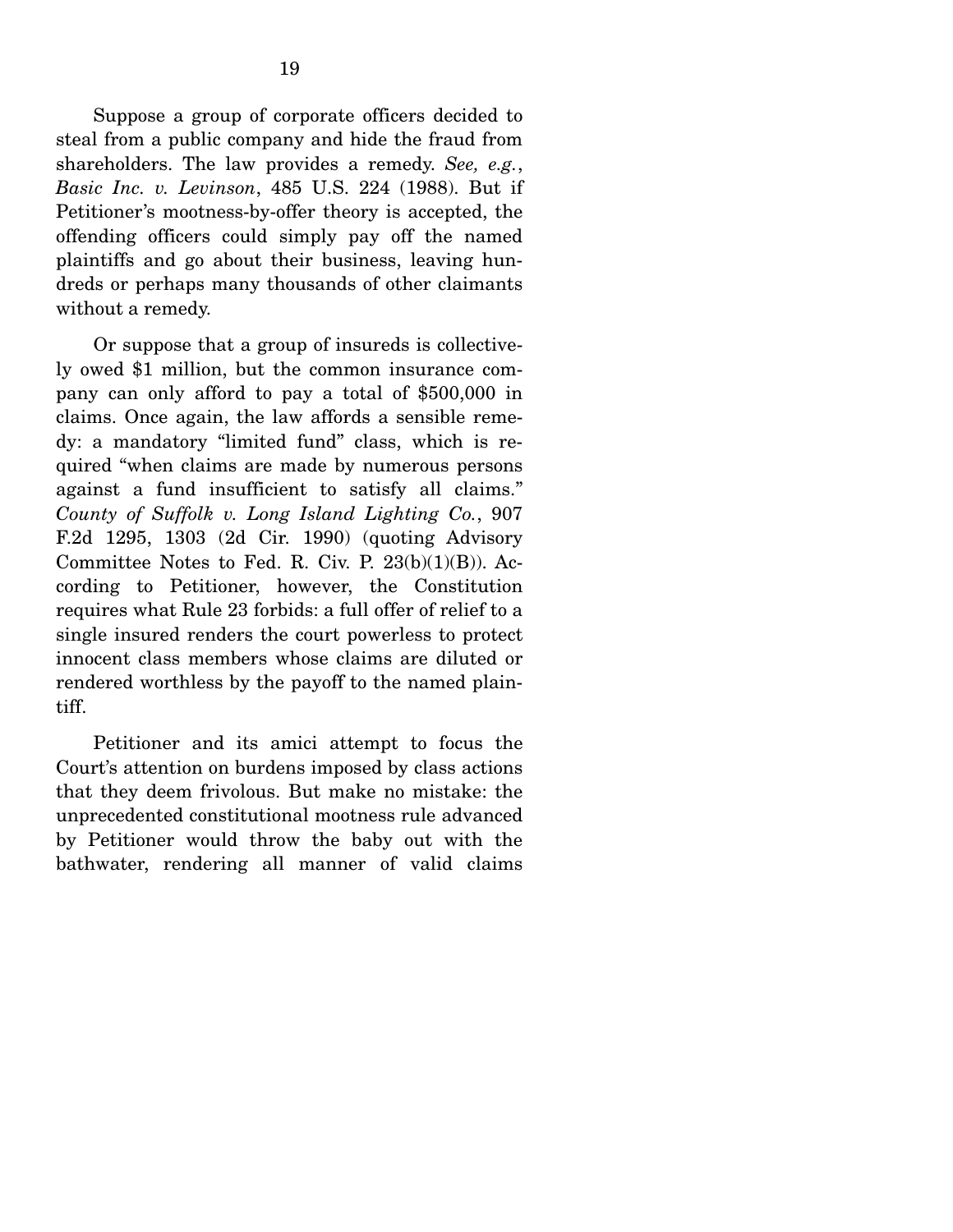Suppose a group of corporate officers decided to steal from a public company and hide the fraud from shareholders. The law provides a remedy. *See, e.g.*, *Basic Inc. v. Levinson*, 485 U.S. 224 (1988). But if Petitioner's mootness-by-offer theory is accepted, the offending officers could simply pay off the named plaintiffs and go about their business, leaving hundreds or perhaps many thousands of other claimants without a remedy.

 Or suppose that a group of insureds is collectively owed \$1 million, but the common insurance company can only afford to pay a total of \$500,000 in claims. Once again, the law affords a sensible remedy: a mandatory "limited fund" class, which is required "when claims are made by numerous persons against a fund insufficient to satisfy all claims." *County of Suffolk v. Long Island Lighting Co.*, 907 F.2d 1295, 1303 (2d Cir. 1990) (quoting Advisory Committee Notes to Fed. R. Civ. P.  $23(b)(1)(B)$ . According to Petitioner, however, the Constitution requires what Rule 23 forbids: a full offer of relief to a single insured renders the court powerless to protect innocent class members whose claims are diluted or rendered worthless by the payoff to the named plaintiff.

 Petitioner and its amici attempt to focus the Court's attention on burdens imposed by class actions that they deem frivolous. But make no mistake: the unprecedented constitutional mootness rule advanced by Petitioner would throw the baby out with the bathwater, rendering all manner of valid claims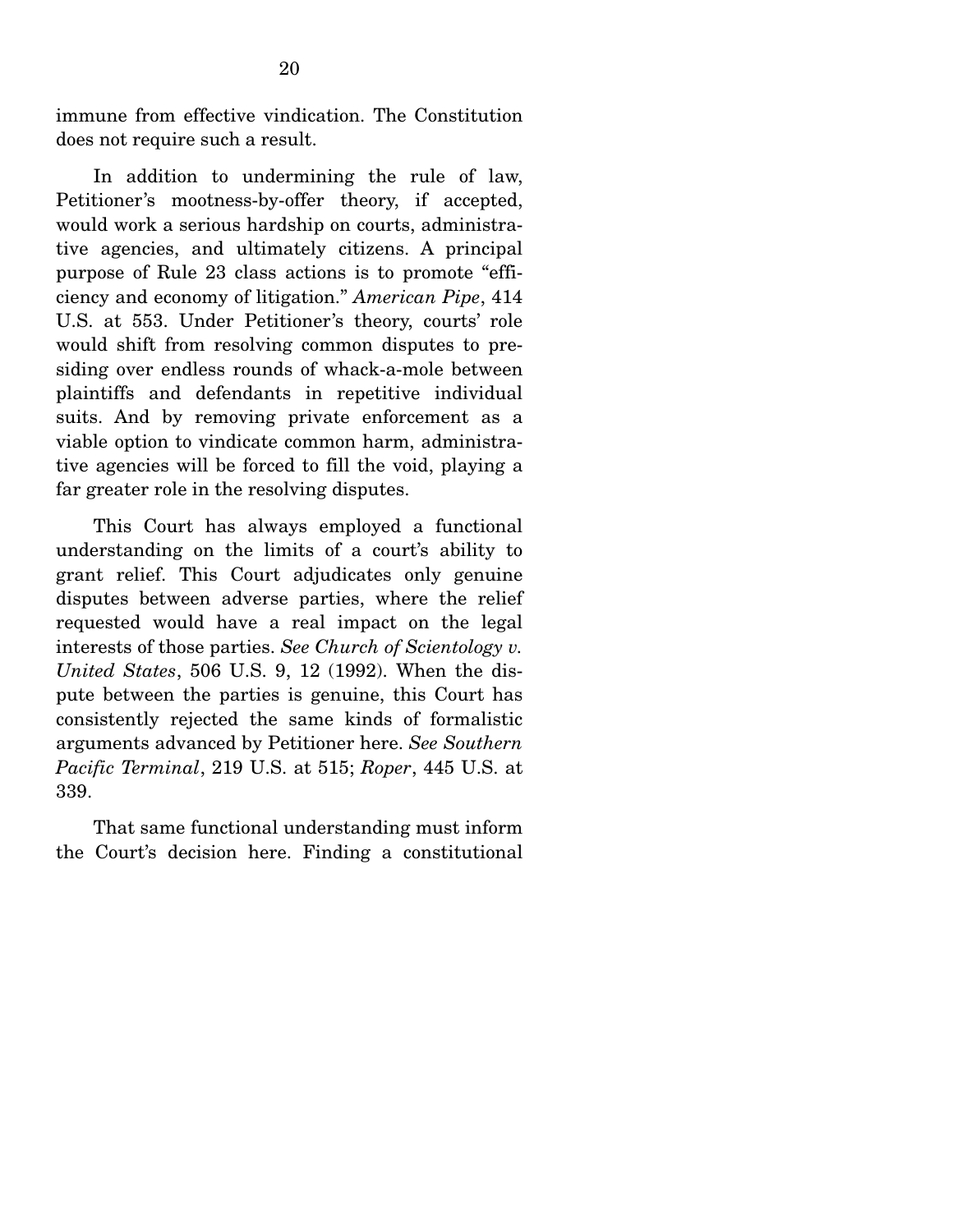immune from effective vindication. The Constitution does not require such a result.

 In addition to undermining the rule of law, Petitioner's mootness-by-offer theory, if accepted, would work a serious hardship on courts, administrative agencies, and ultimately citizens. A principal purpose of Rule 23 class actions is to promote "efficiency and economy of litigation." *American Pipe*, 414 U.S. at 553. Under Petitioner's theory, courts' role would shift from resolving common disputes to presiding over endless rounds of whack-a-mole between plaintiffs and defendants in repetitive individual suits. And by removing private enforcement as a viable option to vindicate common harm, administrative agencies will be forced to fill the void, playing a far greater role in the resolving disputes.

 This Court has always employed a functional understanding on the limits of a court's ability to grant relief. This Court adjudicates only genuine disputes between adverse parties, where the relief requested would have a real impact on the legal interests of those parties. *See Church of Scientology v. United States*, 506 U.S. 9, 12 (1992). When the dispute between the parties is genuine, this Court has consistently rejected the same kinds of formalistic arguments advanced by Petitioner here. *See Southern Pacific Terminal*, 219 U.S. at 515; *Roper*, 445 U.S. at 339.

 That same functional understanding must inform the Court's decision here. Finding a constitutional